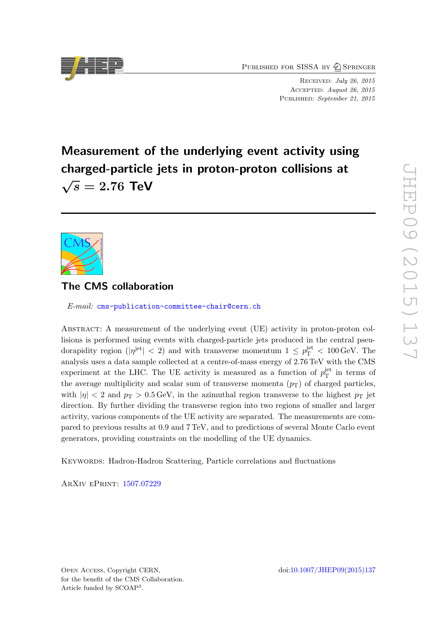PUBLISHED FOR SISSA BY 2 SPRINGER

Received: July 26, 2015 Accepted: August 26, 2015 PUBLISHED: September 21, 2015

# Measurement of the underlying event activity using charged-particle jets in proton-proton collisions at  $\sqrt{s} = 2.76$  TeV



## The CMS collaboration

E-mail: [cms-publication-committee-chair@cern.ch](mailto:cms-publication-committee-chair@cern.ch)

Abstract: A measurement of the underlying event (UE) activity in proton-proton collisions is performed using events with charged-particle jets produced in the central pseudorapidity region ( $|\eta^{\rm jet}| < 2$ ) and with transverse momentum  $1 \le p_T^{\rm jet} < 100 \,\mathrm{GeV}$ . The analysis uses a data sample collected at a centre-of-mass energy of 2.76 TeV with the CMS experiment at the LHC. The UE activity is measured as a function of  $p_T^{\text{jet}}$  $T_T^{\text{jet}}$  in terms of the average multiplicity and scalar sum of transverse momenta  $(p_T)$  of charged particles, with  $|\eta| < 2$  and  $p_T > 0.5$  GeV, in the azimuthal region transverse to the highest  $p_T$  jet direction. By further dividing the transverse region into two regions of smaller and larger activity, various components of the UE activity are separated. The measurements are compared to previous results at 0.9 and 7 TeV, and to predictions of several Monte Carlo event generators, providing constraints on the modelling of the UE dynamics.

Keywords: Hadron-Hadron Scattering, Particle correlations and fluctuations

ArXiv ePrint: [1507.07229](http://arxiv.org/abs/1507.07229)

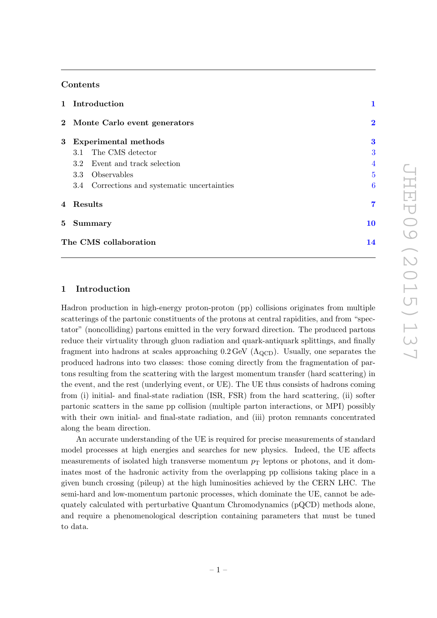### Contents

|                           | 1 Introduction                               |                |  |  |
|---------------------------|----------------------------------------------|----------------|--|--|
|                           | 2 Monte Carlo event generators               | $\bf{2}$       |  |  |
| 3                         | Experimental methods                         | 3              |  |  |
|                           | 3.1 The CMS detector                         | 3              |  |  |
|                           | 3.2 Event and track selection                | $\overline{4}$ |  |  |
|                           | 3.3 Observables                              | $\overline{5}$ |  |  |
|                           | 3.4 Corrections and systematic uncertainties | 6              |  |  |
|                           | 4 Results                                    | 7              |  |  |
| Summary<br>5 <sub>5</sub> |                                              |                |  |  |
|                           | The CMS collaboration                        |                |  |  |

### <span id="page-1-0"></span>1 Introduction

Hadron production in high-energy proton-proton (pp) collisions originates from multiple scatterings of the partonic constituents of the protons at central rapidities, and from "spectator" (noncolliding) partons emitted in the very forward direction. The produced partons reduce their virtuality through gluon radiation and quark-antiquark splittings, and finally fragment into hadrons at scales approaching  $0.2 \,\text{GeV}$  ( $\Lambda_{\text{QCD}}$ ). Usually, one separates the produced hadrons into two classes: those coming directly from the fragmentation of partons resulting from the scattering with the largest momentum transfer (hard scattering) in the event, and the rest (underlying event, or UE). The UE thus consists of hadrons coming from (i) initial- and final-state radiation (ISR, FSR) from the hard scattering, (ii) softer partonic scatters in the same pp collision (multiple parton interactions, or MPI) possibly with their own initial- and final-state radiation, and (iii) proton remnants concentrated along the beam direction.

An accurate understanding of the UE is required for precise measurements of standard model processes at high energies and searches for new physics. Indeed, the UE affects measurements of isolated high transverse momentum  $p_T$  leptons or photons, and it dominates most of the hadronic activity from the overlapping pp collisions taking place in a given bunch crossing (pileup) at the high luminosities achieved by the CERN LHC. The semi-hard and low-momentum partonic processes, which dominate the UE, cannot be adequately calculated with perturbative Quantum Chromodynamics (pQCD) methods alone, and require a phenomenological description containing parameters that must be tuned to data.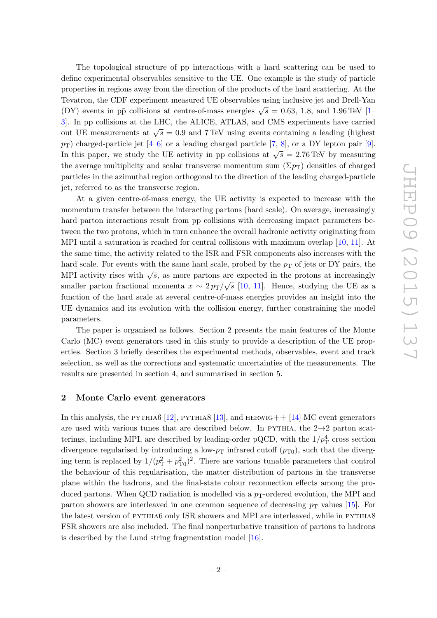The topological structure of pp interactions with a hard scattering can be used to define experimental observables sensitive to the UE. One example is the study of particle properties in regions away from the direction of the products of the hard scattering. At the Tevatron, the CDF experiment measured UE observables using inclusive jet and Drell-Yan (DY) events in pp collisions at centre-of-mass energies  $\sqrt{s} = 0.63, 1.8,$  and 1.96 TeV [\[1–](#page-12-0) [3\]](#page-12-1). In pp collisions at the LHC, the ALICE, ATLAS, and CMS experiments have carried out UE measurements at  $\sqrt{s} = 0.9$  and 7 TeV using events containing a leading (highest  $p_{\rm T}$ ) charged-particle jet [\[4](#page-12-2)[–6\]](#page-12-3) or a leading charged particle [\[7,](#page-12-4) [8\]](#page-12-5), or a DY lepton pair [\[9\]](#page-12-6). In this paper, we study the UE activity in pp collisions at  $\sqrt{s} = 2.76$  TeV by measuring the average multiplicity and scalar transverse momentum sum  $(\Sigma p_T)$  densities of charged particles in the azimuthal region orthogonal to the direction of the leading charged-particle jet, referred to as the transverse region.

At a given centre-of-mass energy, the UE activity is expected to increase with the momentum transfer between the interacting partons (hard scale). On average, increasingly hard parton interactions result from pp collisions with decreasing impact parameters between the two protons, which in turn enhance the overall hadronic activity originating from MPI until a saturation is reached for central collisions with maximum overlap [\[10,](#page-12-7) [11\]](#page-12-8). At the same time, the activity related to the ISR and FSR components also increases with the hard scale. For events with the same hard scale, probed by the  $p_T$  of jets or DY pairs, the MPI activity rises with  $\sqrt{s}$ , as more partons are expected in the protons at increasingly smaller parton fractional momenta  $x \sim 2 p_T / \sqrt{s}$  [\[10,](#page-12-7) [11\]](#page-12-8). Hence, studying the UE as a function of the hard scale at several centre-of-mass energies provides an insight into the UE dynamics and its evolution with the collision energy, further constraining the model parameters.

The paper is organised as follows. Section 2 presents the main features of the Monte Carlo (MC) event generators used in this study to provide a description of the UE properties. Section 3 briefly describes the experimental methods, observables, event and track selection, as well as the corrections and systematic uncertainties of the measurements. The results are presented in section 4, and summarised in section 5.

#### <span id="page-2-0"></span>2 Monte Carlo event generators

In this analysis, the PYTHIA6 [\[12\]](#page-12-9), PYTHIA8 [\[13\]](#page-13-0), and HERWIG++ [\[14\]](#page-13-1) MC event generators are used with various tunes that are described below. In PYTHIA, the  $2\rightarrow 2$  parton scatterings, including MPI, are described by leading-order pQCD, with the  $1/p_T^4$  cross section divergence regularised by introducing a low- $p_T$  infrared cutoff  $(p_{T0})$ , such that the diverging term is replaced by  $1/(p_{\rm T}^2 + p_{\rm T0}^2)^2$ . There are various tunable parameters that control the behaviour of this regularisation, the matter distribution of partons in the transverse plane within the hadrons, and the final-state colour reconnection effects among the produced partons. When QCD radiation is modelled via a  $p_T$ -ordered evolution, the MPI and parton showers are interleaved in one common sequence of decreasing  $p<sub>T</sub>$  values [\[15\]](#page-13-2). For the latest version of PYTHIA6 only ISR showers and MPI are interleaved, while in PYTHIA8 FSR showers are also included. The final nonperturbative transition of partons to hadrons is described by the Lund string fragmentation model [\[16\]](#page-13-3).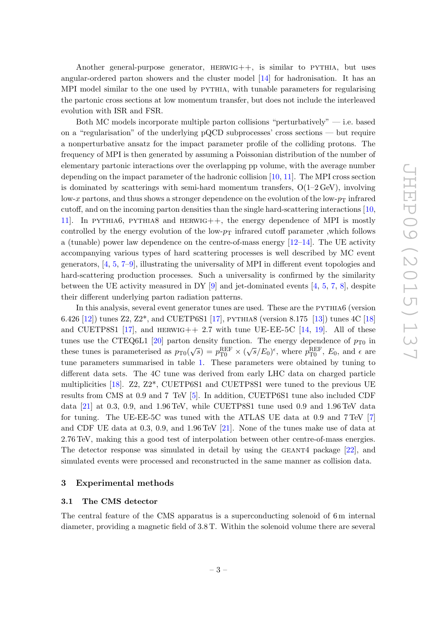Another general-purpose generator,  $HERWIG++$ , is similar to PYTHIA, but uses angular-ordered parton showers and the cluster model [\[14\]](#page-13-1) for hadronisation. It has an MPI model similar to the one used by PYTHIA, with tunable parameters for regularising the partonic cross sections at low momentum transfer, but does not include the interleaved evolution with ISR and FSR.

Both MC models incorporate multiple parton collisions "perturbatively" — i.e. based on a "regularisation" of the underlying pQCD subprocesses' cross sections — but require a nonperturbative ansatz for the impact parameter profile of the colliding protons. The frequency of MPI is then generated by assuming a Poissonian distribution of the number of elementary partonic interactions over the overlapping pp volume, with the average number depending on the impact parameter of the hadronic collision [\[10,](#page-12-7) [11\]](#page-12-8). The MPI cross section is dominated by scatterings with semi-hard momentum transfers,  $O(1-2 \text{ GeV})$ , involving low-x partons, and thus shows a stronger dependence on the evolution of the low- $p_T$  infrared cutoff, and on the incoming parton densities than the single hard-scattering interactions [\[10,](#page-12-7) [11\]](#page-12-8). In PYTHIA6, PYTHIA8 and HERWIG $++$ , the energy dependence of MPI is mostly controlled by the energy evolution of the low- $p<sub>T</sub>$  infrared cutoff parameter, which follows a (tunable) power law dependence on the centre-of-mass energy  $[12-14]$  $[12-14]$ . The UE activity accompanying various types of hard scattering processes is well described by MC event generators, [\[4,](#page-12-2) [5,](#page-12-10) [7](#page-12-4)[–9\]](#page-12-6), illustrating the universality of MPI in different event topologies and hard-scattering production processes. Such a universality is confirmed by the similarity between the UE activity measured in DY  $[9]$  and jet-dominated events  $[4, 5, 7, 8]$  $[4, 5, 7, 8]$  $[4, 5, 7, 8]$  $[4, 5, 7, 8]$  $[4, 5, 7, 8]$  $[4, 5, 7, 8]$  $[4, 5, 7, 8]$ , despite their different underlying parton radiation patterns.

In this analysis, several event generator tunes are used. These are the PYTHIA6 (version 6.426 [\[12\]](#page-12-9)) tunes Z2, Z2<sup>\*</sup>, and CUETP6S1 [\[17\]](#page-13-4), PYTHIA8 (version 8.175 [\[13\]](#page-13-0)) tunes 4C [\[18\]](#page-13-5) and CUETP8S1 [\[17\]](#page-13-4), and  $HERWIG++ 2.7$  with tune UE-EE-5C [\[14,](#page-13-1) [19\]](#page-13-6). All of these tunes use the CTEQ6L1 [\[20\]](#page-13-7) parton density function. The energy dependence of  $p_{T0}$  in these tunes is parameterised as  $p_{T0}(\sqrt{s}) = p_{T0}^{\text{REF}} \times (\sqrt{s}/E_0)^{\epsilon}$ , where  $p_{T0}^{\text{REF}}$ ,  $E_0$ , and  $\epsilon$  are tune parameters summarised in table [1.](#page-4-1) These parameters were obtained by tuning to different data sets. The 4C tune was derived from early LHC data on charged particle multiplicities [\[18\]](#page-13-5). Z2, Z2\*, CUETP6S1 and CUETP8S1 were tuned to the previous UE results from CMS at 0.9 and 7 TeV [\[5\]](#page-12-10). In addition, CUETP6S1 tune also included CDF data [\[21\]](#page-13-8) at 0.3, 0.9, and 1.96 TeV, while CUETP8S1 tune used 0.9 and 1.96 TeV data for tuning. The UE-EE-5C was tuned with the ATLAS UE data at 0.9 and 7 TeV [\[7\]](#page-12-4) and CDF UE data at 0.3, 0.9, and 1.96 TeV [\[21\]](#page-13-8). None of the tunes make use of data at 2.76 TeV, making this a good test of interpolation between other centre-of-mass energies. The detector response was simulated in detail by using the GEANT4 package  $[22]$ , and simulated events were processed and reconstructed in the same manner as collision data.

#### <span id="page-3-0"></span>3 Experimental methods

#### <span id="page-3-1"></span>3.1 The CMS detector

The central feature of the CMS apparatus is a superconducting solenoid of 6 m internal diameter, providing a magnetic field of 3.8 T. Within the solenoid volume there are several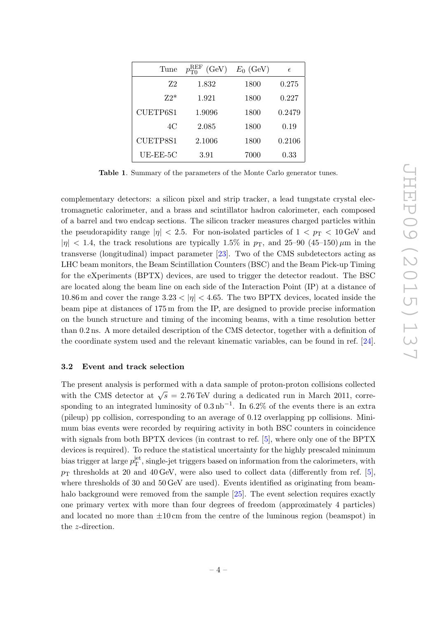| Tune     | $p_{\rm TO}^{\rm REF}$<br>(GeV) | $E_0$ (GeV) | $\epsilon$ |
|----------|---------------------------------|-------------|------------|
| Z2       | 1.832                           | 1800        | 0.275      |
| $Z2^*$   | 1.921                           | 1800        | 0.227      |
| CUETP6S1 | 1.9096                          | 1800        | 0.2479     |
| AC       | 2.085                           | 1800        | 0.19       |
| CUETP8S1 | 2.1006                          | 1800        | 0.2106     |
| UE-EE-5C | 3.91                            | 7000        | 0.33       |

<span id="page-4-1"></span>Table 1. Summary of the parameters of the Monte Carlo generator tunes.

complementary detectors: a silicon pixel and strip tracker, a lead tungstate crystal electromagnetic calorimeter, and a brass and scintillator hadron calorimeter, each composed of a barrel and two endcap sections. The silicon tracker measures charged particles within the pseudorapidity range  $|\eta| < 2.5$ . For non-isolated particles of  $1 < p_T < 10$  GeV and  $|\eta| < 1.4$ , the track resolutions are typically 1.5% in  $p<sub>T</sub>$ , and 25–90 (45–150)  $\mu$ m in the transverse (longitudinal) impact parameter [\[23\]](#page-13-10). Two of the CMS subdetectors acting as LHC beam monitors, the Beam Scintillation Counters (BSC) and the Beam Pick-up Timing for the eXperiments (BPTX) devices, are used to trigger the detector readout. The BSC are located along the beam line on each side of the Interaction Point (IP) at a distance of 10.86 m and cover the range  $3.23 < |\eta| < 4.65$ . The two BPTX devices, located inside the beam pipe at distances of 175 m from the IP, are designed to provide precise information on the bunch structure and timing of the incoming beams, with a time resolution better than 0.2 ns. A more detailed description of the CMS detector, together with a definition of the coordinate system used and the relevant kinematic variables, can be found in ref. [\[24\]](#page-13-11).

#### <span id="page-4-0"></span>3.2 Event and track selection

The present analysis is performed with a data sample of proton-proton collisions collected with the CMS detector at  $\sqrt{s} = 2.76$  TeV during a dedicated run in March 2011, corresponding to an integrated luminosity of  $0.3 \text{ nb}^{-1}$ . In 6.2% of the events there is an extra (pileup) pp collision, corresponding to an average of 0.12 overlapping pp collisions. Minimum bias events were recorded by requiring activity in both BSC counters in coincidence with signals from both BPTX devices (in contrast to ref. [\[5\]](#page-12-10), where only one of the BPTX devices is required). To reduce the statistical uncertainty for the highly prescaled minimum bias trigger at large  $p_T^{\text{jet}}$  $T<sup>jet</sup>$ , single-jet triggers based on information from the calorimeters, with  $p_T$  thresholds at 20 and 40 GeV, were also used to collect data (differently from ref. [\[5\]](#page-12-10), where thresholds of 30 and 50 GeV are used). Events identified as originating from beam-halo background were removed from the sample [\[25\]](#page-13-12). The event selection requires exactly one primary vertex with more than four degrees of freedom (approximately 4 particles) and located no more than  $\pm 10 \text{ cm}$  from the centre of the luminous region (beamspot) in the z-direction.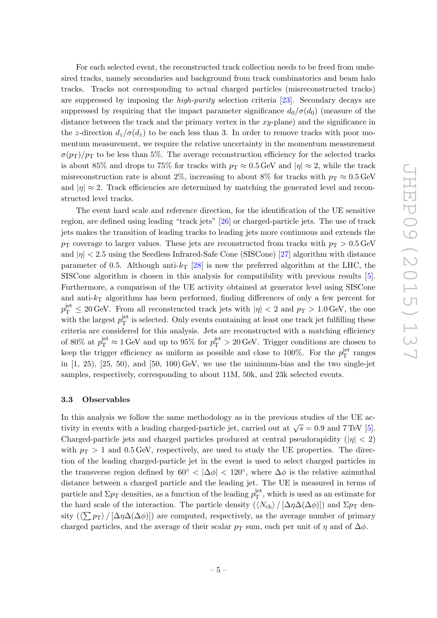For each selected event, the reconstructed track collection needs to be freed from undesired tracks, namely secondaries and background from track combinatorics and beam halo tracks. Tracks not corresponding to actual charged particles (misreconstructed tracks) are suppressed by imposing the high-purity selection criteria [\[23\]](#page-13-10). Secondary decays are suppressed by requiring that the impact parameter significance  $d_0/\sigma(d_0)$  (measure of the distance between the track and the primary vertex in the xy-plane) and the significance in the z-direction  $d_z/\sigma(d_z)$  to be each less than 3. In order to remove tracks with poor momentum measurement, we require the relative uncertainty in the momentum measurement  $\sigma(p_{\rm T})/p_{\rm T}$  to be less than 5%. The average reconstruction efficiency for the selected tracks is about 85% and drops to 75% for tracks with  $p_T \approx 0.5$  GeV and  $|\eta| \approx 2$ , while the track misreconstruction rate is about 2%, increasing to about 8% for tracks with  $p_T \approx 0.5 \,\text{GeV}$ and  $|\eta| \approx 2$ . Track efficiencies are determined by matching the generated level and reconstructed level tracks.

The event hard scale and reference direction, for the identification of the UE sensitive region, are defined using leading "track jets" [\[26\]](#page-13-13) or charged-particle jets. The use of track jets makes the transition of leading tracks to leading jets more continuous and extends the  $p_{\rm T}$  coverage to larger values. These jets are reconstructed from tracks with  $p_{\rm T} > 0.5$  GeV and  $|\eta| < 2.5$  using the Seedless Infrared-Safe Cone (SISCone) [\[27\]](#page-13-14) algorithm with distance parameter of 0.5. Although anti- $k_T$  [\[28\]](#page-13-15) is now the preferred algorithm at the LHC, the SISCone algorithm is chosen in this analysis for compatibility with previous results [\[5\]](#page-12-10). Furthermore, a comparison of the UE activity obtained at generator level using SISCone and anti- $k_T$  algorithms has been performed, finding differences of only a few percent for  $p_{\text{T}}^{\text{jet}} \leq 20 \,\text{GeV}$ . From all reconstructed track jets with  $|\eta| < 2$  and  $p_{\text{T}} > 1.0 \,\text{GeV}$ , the one with the largest  $p_T^{\text{jet}}$  $T<sup>jet</sup>$  is selected. Only events containing at least one track jet fulfilling these criteria are considered for this analysis. Jets are reconstructed with a matching efficiency of 80% at  $p_T^{\text{jet}} \approx 1 \,\text{GeV}$  and up to 95% for  $p_T^{\text{jet}} > 20 \,\text{GeV}$ . Trigger conditions are chosen to keep the trigger efficiency as uniform as possible and close to 100%. For the  $p_T^{\text{jet}}$ <sup>Jet</sup> ranges in  $[1, 25)$ ,  $[25, 50)$ , and  $[50, 100)$  GeV, we use the minimum-bias and the two single-jet samples, respectively, corresponding to about 11M, 50k, and 23k selected events.

#### <span id="page-5-0"></span>3.3 Observables

In this analysis we follow the same methodology as in the previous studies of the UE activity in events with a leading charged-particle jet, carried out at  $\sqrt{s} = 0.9$  and 7 TeV [\[5\]](#page-12-10). Charged-particle jets and charged particles produced at central pseudorapidity ( $|\eta| < 2$ ) with  $p_T > 1$  and 0.5 GeV, respectively, are used to study the UE properties. The direction of the leading charged-particle jet in the event is used to select charged particles in the transverse region defined by  $60^{\circ} < |\Delta \phi| < 120^{\circ}$ , where  $\Delta \phi$  is the relative azimuthal distance between a charged particle and the leading jet. The UE is measured in terms of particle and  $\Sigma p_{\rm T}$  densities, as a function of the leading  $p_{\rm T}^{\rm jet}$  $T<sup>jet</sup>$ , which is used as an estimate for the hard scale of the interaction. The particle density  $(\langle N_{ch} \rangle / [\Delta \eta \Delta (\Delta \phi)]$  and  $\Sigma p_{\rm T}$  density  $(\langle \sum p_T \rangle / [\Delta \eta \Delta(\Delta \phi)] )$  are computed, respectively, as the average number of primary charged particles, and the average of their scalar  $p<sub>T</sub>$  sum, each per unit of  $\eta$  and of  $\Delta\phi$ .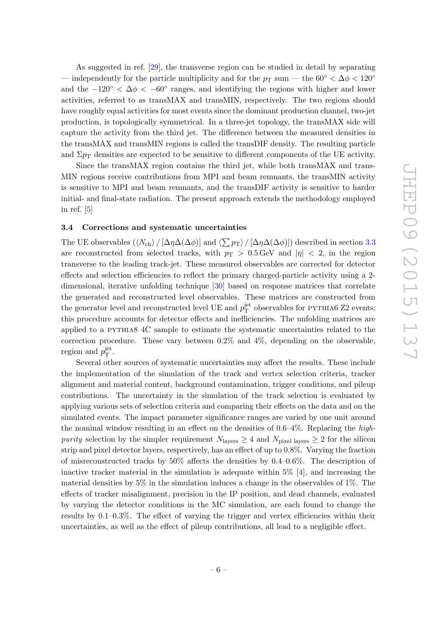As suggested in ref. [\[29\]](#page-13-16), the transverse region can be studied in detail by separating — independently for the particle multiplicity and for the  $p_T \, \text{sum}$  — the 60°  $\langle \Delta \phi \rangle$  < 120° and the  $-120° < \Delta \phi < -60°$  ranges, and identifying the regions with higher and lower activities, referred to as transMAX and transMIN, respectively. The two regions should have roughly equal activities for most events since the dominant production channel, two-jet production, is topologically symmetrical. In a three-jet topology, the transMAX side will capture the activity from the third jet. The difference between the measured densities in the transMAX and transMIN regions is called the transDIF density. The resulting particle and  $\Sigma p_{\rm T}$  densities are expected to be sensitive to different components of the UE activity.

Since the transMAX region contains the third jet, while both transMAX and trans-MIN regions receive contributions from MPI and beam remnants, the transMIN activity is sensitive to MPI and beam remnants, and the transDIF activity is sensitive to harder initial- and final-state radiation. The present approach extends the methodology employed in ref. [\[5\]](#page-12-10)

#### <span id="page-6-0"></span>3.4 Corrections and systematic uncertainties

The UE observables  $(\langle N_{\text{ch}} \rangle / [\Delta \eta \Delta (\Delta \phi)]$  and  $\langle \sum p_{\text{T}} \rangle / [\Delta \eta \Delta (\Delta \phi)]$  described in section [3.3](#page-5-0) are reconstructed from selected tracks, with  $p_T > 0.5$  GeV and  $|\eta| < 2$ , in the region transverse to the leading track-jet. These measured observables are corrected for detector effects and selection efficiencies to reflect the primary charged-particle activity using a 2 dimensional, iterative unfolding technique [\[30\]](#page-13-17) based on response matrices that correlate the generated and reconstructed level observables. These matrices are constructed from the generator level and reconstructed level UE and  $p_T^{\text{jet}}$  $T_T^{\text{jet}}$  observables for PYTHIA6 Z2 events; this procedure accounts for detector effects and inefficiencies. The unfolding matrices are applied to a pythia8 4C sample to estimate the systematic uncertainties related to the correction procedure. These vary between  $0.2\%$  and  $4\%$ , depending on the observable, region and  $p_T^{\text{jet}}$ յeւ<br>T

Several other sources of systematic uncertainties may affect the results. These include the implementation of the simulation of the track and vertex selection criteria, tracker alignment and material content, background contamination, trigger conditions, and pileup contributions. The uncertainty in the simulation of the track selection is evaluated by applying various sets of selection criteria and comparing their effects on the data and on the simulated events. The impact parameter significance ranges are varied by one unit around the nominal window resulting in an effect on the densities of  $0.6-4\%$ . Replacing the highpurity selection by the simpler requirement  $N_{\text{layers}} \geq 4$  and  $N_{\text{pixel layers}} \geq 2$  for the silicon strip and pixel detector layers, respectively, has an effect of up to 0.8%. Varying the fraction of misreconstructed tracks by 50% affects the densities by 0.4–0.6%. The description of inactive tracker material in the simulation is adequate within  $5\%$  [\[4\]](#page-12-2), and increasing the material densities by  $5\%$  in the simulation induces a change in the observables of  $1\%$ . The effects of tracker misalignment, precision in the IP position, and dead channels, evaluated by varying the detector conditions in the MC simulation, are each found to change the results by 0.1–0.3%. The effect of varying the trigger and vertex efficiencies within their uncertainties, as well as the effect of pileup contributions, all lead to a negligible effect.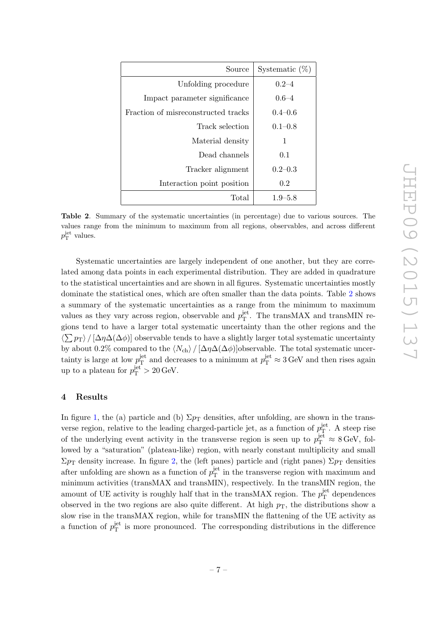| Source                              | Systematic $(\%)$ |
|-------------------------------------|-------------------|
| Unfolding procedure                 | $0.2 - 4$         |
| Impact parameter significance       | $0.6 - 4$         |
| Fraction of misreconstructed tracks | $0.4 - 0.6$       |
| Track selection                     | $0.1 - 0.8$       |
| Material density                    | 1                 |
| Dead channels                       | 0.1               |
| Tracker alignment                   | $0.2 - 0.3$       |
| Interaction point position          | 0.2               |
| Total                               | $1.9 - 5.8$       |

<span id="page-7-1"></span>Table 2. Summary of the systematic uncertainties (in percentage) due to various sources. The values range from the minimum to maximum from all regions, observables, and across different  $p_{\rm T}^{\rm jet}$  values.

Systematic uncertainties are largely independent of one another, but they are correlated among data points in each experimental distribution. They are added in quadrature to the statistical uncertainties and are shown in all figures. Systematic uncertainties mostly dominate the statistical ones, which are often smaller than the data points. Table [2](#page-7-1) shows a summary of the systematic uncertainties as a range from the minimum to maximum values as they vary across region, observable and  $p_T^{\text{jet}}$  $T_{\rm T}^{\rm jet}$ . The transMAX and transMIN regions tend to have a larger total systematic uncertainty than the other regions and the  $\langle \sum p_T \rangle / [\Delta \eta \Delta (\Delta \phi)]$  observable tends to have a slightly larger total systematic uncertainty by about 0.2% compared to the  $\langle N_{\text{ch}} \rangle / [\Delta \eta \Delta(\Delta \phi)]$ observable. The total systematic uncertainty is large at low  $p_T^{\text{jet}}$  $j_{\rm T}^{\rm jet}$  and decreases to a minimum at  $p_{\rm T}^{\rm jet} \approx 3\,\text{GeV}$  and then rises again up to a plateau for  $p_T^{\text{jet}} > 20 \,\text{GeV}$ .

#### <span id="page-7-0"></span>4 Results

In figure [1,](#page-8-0) the (a) particle and (b)  $\Sigma p_{\rm T}$  densities, after unfolding, are shown in the transverse region, relative to the leading charged-particle jet, as a function of  $p_T^{\text{jet}}$  $T<sup>jet</sup>$ . A steep rise of the underlying event activity in the transverse region is seen up to  $p_T^{\text{jet}} \approx 8 \,\text{GeV}$ , followed by a "saturation" (plateau-like) region, with nearly constant multiplicity and small  $\Sigma p_{\rm T}$  density increase. In figure [2,](#page-9-0) the (left panes) particle and (right panes)  $\Sigma p_{\rm T}$  densities after unfolding are shown as a function of  $p_T^{\text{jet}}$  $T<sup>jet</sup>$  in the transverse region with maximum and minimum activities (transMAX and transMIN), respectively. In the transMIN region, the amount of UE activity is roughly half that in the transMAX region. The  $p_T^{\text{jet}}$  $T_{\rm T}^{\rm jet}$  dependences observed in the two regions are also quite different. At high  $p<sub>T</sub>$ , the distributions show a slow rise in the transMAX region, while for transMIN the flattening of the UE activity as a function of  $p_T^{\text{jet}}$  $T<sub>T</sub><sup>jet</sup>$  is more pronounced. The corresponding distributions in the difference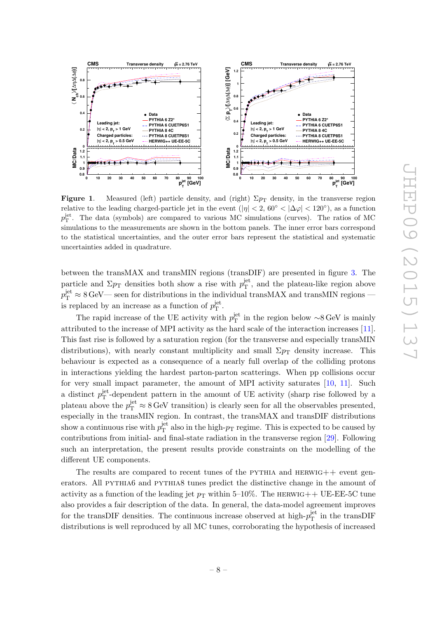

<span id="page-8-0"></span>**Figure 1.** Measured (left) particle density, and (right)  $\Sigma p_T$  density, in the transverse region relative to the leading charged-particle jet in the event  $(|\eta| < 2, 60° < |\Delta \varphi| < 120°)$ , as a function  $p_T^{\text{jet}}$ . The data (symbols) are compared to various MC simulations (curves). The ratios of MC simulations to the measurements are shown in the bottom panels. The inner error bars correspond to the statistical uncertainties, and the outer error bars represent the statistical and systematic uncertainties added in quadrature.

between the transMAX and transMIN regions (transDIF) are presented in figure [3.](#page-10-1) The particle and  $\Sigma p_{\rm T}$  densities both show a rise with  $p_{\rm T}^{\rm jet}$  $T<sub>T</sub><sup>jet</sup>$ , and the plateau-like region above  $p_{\textrm{T}}^{\textrm{jet}} \approx 8\,\textrm{GeV}$ — seen for distributions in the individual transMAX and transMIN regions is replaced by an increase as a function of  $p_T^{\text{jet}}$ <sup>jeτ</sup>.<br>Τ

The rapid increase of the UE activity with  $p_T^{\text{jet}}$  $T<sup>jet</sup>$  in the region below ~8 GeV is mainly attributed to the increase of MPI activity as the hard scale of the interaction increases [\[11\]](#page-12-8). This fast rise is followed by a saturation region (for the transverse and especially transMIN distributions), with nearly constant multiplicity and small  $\Sigma p_T$  density increase. This behaviour is expected as a consequence of a nearly full overlap of the colliding protons in interactions yielding the hardest parton-parton scatterings. When pp collisions occur for very small impact parameter, the amount of MPI activity saturates [\[10,](#page-12-7) [11\]](#page-12-8). Such a distinct  $p_T^{\text{jet}}$ <sup>et</sup>-dependent pattern in the amount of UE activity (sharp rise followed by a plateau above the  $p_T^{\text{jet}} \approx 8 \,\text{GeV}$  transition) is clearly seen for all the observables presented, especially in the transMIN region. In contrast, the transMAX and transDIF distributions show a continuous rise with  $p_T^{\text{jet}}$  $T<sup>jet</sup>$  also in the high- $p<sub>T</sub>$  regime. This is expected to be caused by contributions from initial- and final-state radiation in the transverse region [\[29\]](#page-13-16). Following such an interpretation, the present results provide constraints on the modelling of the different UE components.

The results are compared to recent tunes of the PYTHIA and  $HERWIG++$  event generators. All pythia6 and pythia8 tunes predict the distinctive change in the amount of activity as a function of the leading jet  $p<sub>T</sub>$  within 5–10%. The HERWIG++ UE-EE-5C tune also provides a fair description of the data. In general, the data-model agreement improves for the transDIF densities. The continuous increase observed at high- $p_T^{\text{jet}}$  $J_T^{\text{jet}}$  in the transDIF distributions is well reproduced by all MC tunes, corroborating the hypothesis of increased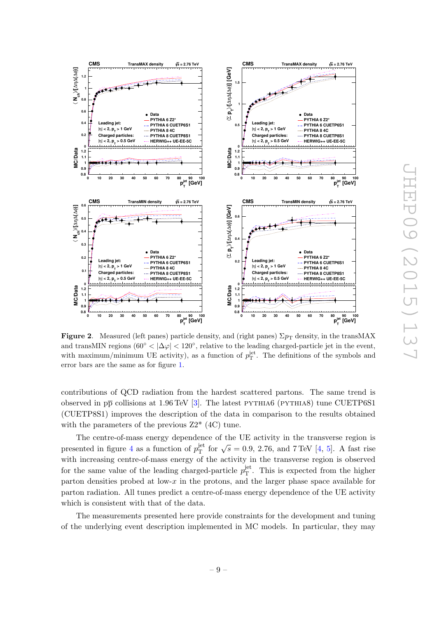

<span id="page-9-0"></span>**Figure 2.** Measured (left panes) particle density, and (right panes)  $\Sigma p_T$  density, in the transMAX and transMIN regions  $(60° < |\Delta \varphi| < 120°)$ , relative to the leading charged-particle jet in the event, with maximum/minimum UE activity), as a function of  $p_T^{\text{jet}}$ . The definitions of the symbols and error bars are the same as for figure [1.](#page-8-0)

contributions of QCD radiation from the hardest scattered partons. The same trend is observed in  $p\bar{p}$  collisions at 1.96 TeV [\[3\]](#page-12-1). The latest PYTHIA6 (PYTHIA8) tune CUETP6S1 (CUETP8S1) improves the description of the data in comparison to the results obtained with the parameters of the previous  $Z2^*$  (4C) tune.

The centre-of-mass energy dependence of the UE activity in the transverse region is presented in figure [4](#page-10-2) as a function of  $p_T^{\text{jet}}$  $\frac{\text{det of the OLE activity}}{\text{T}}$  for  $\sqrt{s} = 0.9, 2.76, \text{ and } 7 \text{ TeV}$  [\[4,](#page-12-2) [5\]](#page-12-10). A fast rise with increasing centre-of-mass energy of the activity in the transverse region is observed for the same value of the leading charged-particle  $p_T^{\text{jet}}$  $T<sup>jet</sup>$ . This is expected from the higher parton densities probed at low-x in the protons, and the larger phase space available for parton radiation. All tunes predict a centre-of-mass energy dependence of the UE activity which is consistent with that of the data.

The measurements presented here provide constraints for the development and tuning of the underlying event description implemented in MC models. In particular, they may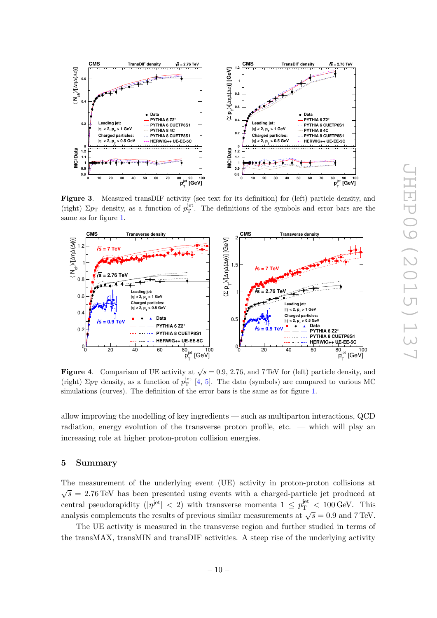

<span id="page-10-1"></span>Figure 3. Measured transDIF activity (see text for its definition) for (left) particle density, and (right)  $\Sigma p_{\rm T}$  density, as a function of  $p_{\rm T}^{\rm jet}$ . The definitions of the symbols and error bars are the same as for figure [1.](#page-8-0)



<span id="page-10-2"></span>**Figure 4.** Comparison of UE activity at  $\sqrt{s} = 0.9, 2.76,$  and 7 TeV for (left) particle density, and (right)  $\Sigma p_{\rm T}$  density, as a function of  $p_{\rm T}^{\rm jet}$  [\[4,](#page-12-2) [5\]](#page-12-10). The data (symbols) are compared to various MC simulations (curves). The definition of the error bars is the same as for figure [1.](#page-8-0)

allow improving the modelling of key ingredients — such as multiparton interactions, QCD radiation, energy evolution of the transverse proton profile, etc. — which will play an increasing role at higher proton-proton collision energies.

#### <span id="page-10-0"></span>5 Summary

The measurement of the underlying event (UE) activity in proton-proton collisions at  $\sqrt{s}$  = 2.76 TeV has been presented using events with a charged-particle jet produced at central pseudorapidity ( $|\eta^{\rm jet}| < 2$ ) with transverse momenta  $1 \le p_T^{\rm jet} < 100 \,\text{GeV}$ . This analysis complements the results of previous similar measurements at  $\sqrt{s} = 0.9$  and 7 TeV.

The UE activity is measured in the transverse region and further studied in terms of the transMAX, transMIN and transDIF activities. A steep rise of the underlying activity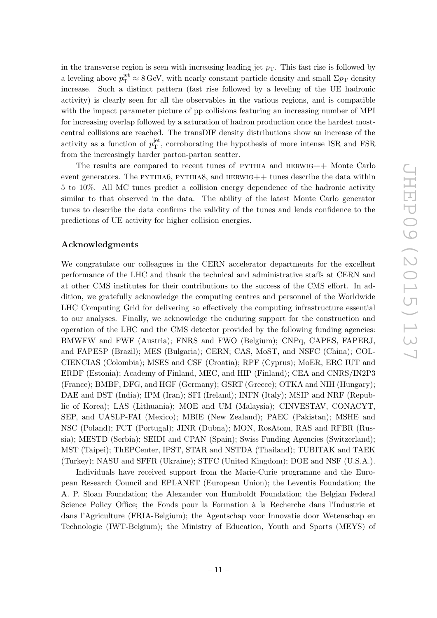in the transverse region is seen with increasing leading jet  $p<sub>T</sub>$ . This fast rise is followed by a leveling above  $p_T^{\text{jet}} \approx 8 \,\text{GeV}$ , with nearly constant particle density and small  $\Sigma p_T$  density increase. Such a distinct pattern (fast rise followed by a leveling of the UE hadronic activity) is clearly seen for all the observables in the various regions, and is compatible with the impact parameter picture of pp collisions featuring an increasing number of MPI for increasing overlap followed by a saturation of hadron production once the hardest mostcentral collisions are reached. The transDIF density distributions show an increase of the activity as a function of  $p_T^{\text{jet}}$  $T<sub>T</sub><sup>jet</sup>$ , corroborating the hypothesis of more intense ISR and FSR from the increasingly harder parton-parton scatter.

The results are compared to recent tunes of pythia and herwig++ Monte Carlo event generators. The PYTHIA6, PYTHIA8, and HERWIG $++$  tunes describe the data within 5 to 10%. All MC tunes predict a collision energy dependence of the hadronic activity similar to that observed in the data. The ability of the latest Monte Carlo generator tunes to describe the data confirms the validity of the tunes and lends confidence to the predictions of UE activity for higher collision energies.

#### Acknowledgments

We congratulate our colleagues in the CERN accelerator departments for the excellent performance of the LHC and thank the technical and administrative staffs at CERN and at other CMS institutes for their contributions to the success of the CMS effort. In addition, we gratefully acknowledge the computing centres and personnel of the Worldwide LHC Computing Grid for delivering so effectively the computing infrastructure essential to our analyses. Finally, we acknowledge the enduring support for the construction and operation of the LHC and the CMS detector provided by the following funding agencies: BMWFW and FWF (Austria); FNRS and FWO (Belgium); CNPq, CAPES, FAPERJ, and FAPESP (Brazil); MES (Bulgaria); CERN; CAS, MoST, and NSFC (China); COL-CIENCIAS (Colombia); MSES and CSF (Croatia); RPF (Cyprus); MoER, ERC IUT and ERDF (Estonia); Academy of Finland, MEC, and HIP (Finland); CEA and CNRS/IN2P3 (France); BMBF, DFG, and HGF (Germany); GSRT (Greece); OTKA and NIH (Hungary); DAE and DST (India); IPM (Iran); SFI (Ireland); INFN (Italy); MSIP and NRF (Republic of Korea); LAS (Lithuania); MOE and UM (Malaysia); CINVESTAV, CONACYT, SEP, and UASLP-FAI (Mexico); MBIE (New Zealand); PAEC (Pakistan); MSHE and NSC (Poland); FCT (Portugal); JINR (Dubna); MON, RosAtom, RAS and RFBR (Russia); MESTD (Serbia); SEIDI and CPAN (Spain); Swiss Funding Agencies (Switzerland); MST (Taipei); ThEPCenter, IPST, STAR and NSTDA (Thailand); TUBITAK and TAEK (Turkey); NASU and SFFR (Ukraine); STFC (United Kingdom); DOE and NSF (U.S.A.).

Individuals have received support from the Marie-Curie programme and the European Research Council and EPLANET (European Union); the Leventis Foundation; the A. P. Sloan Foundation; the Alexander von Humboldt Foundation; the Belgian Federal Science Policy Office; the Fonds pour la Formation à la Recherche dans l'Industrie et dans l'Agriculture (FRIA-Belgium); the Agentschap voor Innovatie door Wetenschap en Technologie (IWT-Belgium); the Ministry of Education, Youth and Sports (MEYS) of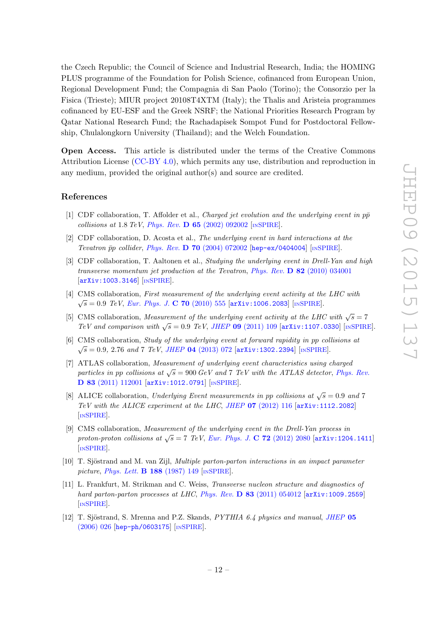the Czech Republic; the Council of Science and Industrial Research, India; the HOMING PLUS programme of the Foundation for Polish Science, cofinanced from European Union, Regional Development Fund; the Compagnia di San Paolo (Torino); the Consorzio per la Fisica (Trieste); MIUR project 20108T4XTM (Italy); the Thalis and Aristeia programmes cofinanced by EU-ESF and the Greek NSRF; the National Priorities Research Program by Qatar National Research Fund; the Rachadapisek Sompot Fund for Postdoctoral Fellowship, Chulalongkorn University (Thailand); and the Welch Foundation.

Open Access. This article is distributed under the terms of the Creative Commons Attribution License [\(CC-BY 4.0\)](http://creativecommons.org/licenses/by/4.0/), which permits any use, distribution and reproduction in any medium, provided the original author(s) and source are credited.

#### References

- <span id="page-12-0"></span>[1] CDF collaboration, T. Affolder et al., *Charged jet evolution and the underlying event in pp* collisions at 1.8 TeV, Phys. Rev. D 65 [\(2002\) 092002](http://dx.doi.org/10.1103/PhysRevD.65.092002)  $\text{[insPIRE]}$ .
- [2] CDF collaboration, D. Acosta et al., The underlying event in hard interactions at the Tevatron  $\bar{p}p$  collider, Phys. Rev. D 70 [\(2004\) 072002](http://dx.doi.org/10.1103/PhysRevD.70.072002) [[hep-ex/0404004](http://arxiv.org/abs/hep-ex/0404004)] [IN[SPIRE](http://inspirehep.net/search?p=find+EPRINT+hep-ex/0404004)].
- <span id="page-12-1"></span>[3] CDF collaboration, T. Aaltonen et al., *Studying the underlying event in Drell-Yan and high* transverse momentum jet production at the Tevatron, Phys. Rev.  $\bf{D}$  82 [\(2010\) 034001](http://dx.doi.org/10.1103/PhysRevD.82.034001) [[arXiv:1003.3146](http://arxiv.org/abs/1003.3146)] [IN[SPIRE](http://inspirehep.net/search?p=find+EPRINT+arXiv:1003.3146)].
- <span id="page-12-2"></span>[4] CMS collaboration, First measurement of the underlying event activity at the LHC with  $\sqrt{s} = 0.9$  TeV, [Eur. Phys. J.](http://dx.doi.org/10.1140/epjc/s10052-010-1453-9) C 70 (2010) 555 [[arXiv:1006.2083](http://arxiv.org/abs/1006.2083)] [IN[SPIRE](http://inspirehep.net/search?p=find+EPRINT+arXiv:1006.2083)].
- <span id="page-12-10"></span>[5] CMS collaboration, *Measurement of the underlying event activity at the LHC with*  $\sqrt{s} = 7$ TeV and comparison with  $\sqrt{s} = 0.9$  TeV, JHEP 09 [\(2011\) 109](http://dx.doi.org/10.1007/JHEP09(2011)109) [[arXiv:1107.0330](http://arxiv.org/abs/1107.0330)] [IN[SPIRE](http://inspirehep.net/search?p=find+EPRINT+arXiv:1107.0330)].
- <span id="page-12-3"></span>[6] CMS collaboration, Study of the underlying event at forward rapidity in pp collisions at  $\sqrt{s} = 0.9$ , 2.76 and 7 TeV, JHEP 04 [\(2013\) 072](http://dx.doi.org/10.1007/JHEP04(2013)072) [[arXiv:1302.2394](http://arxiv.org/abs/1302.2394)] [IN[SPIRE](http://inspirehep.net/search?p=find+EPRINT+arXiv:1302.2394)].
- <span id="page-12-4"></span>[7] ATLAS collaboration, Measurement of underlying event characteristics using charged particles in pp collisions at  $\sqrt{s} = 900 \text{ GeV}$  and 7 TeV with the ATLAS detector, [Phys. Rev.](http://dx.doi.org/10.1103/PhysRevD.83.112001) D 83 [\(2011\) 112001](http://dx.doi.org/10.1103/PhysRevD.83.112001) [[arXiv:1012.0791](http://arxiv.org/abs/1012.0791)] [IN[SPIRE](http://inspirehep.net/search?p=find+EPRINT+arXiv:1012.0791)].
- <span id="page-12-5"></span>[8] ALICE collaboration, Underlying Event measurements in pp collisions at  $\sqrt{s} = 0.9$  and 7 TeV with the ALICE experiment at the LHC, JHEP 07 [\(2012\) 116](http://dx.doi.org/10.1007/JHEP07(2012)116) [[arXiv:1112.2082](http://arxiv.org/abs/1112.2082)] [IN[SPIRE](http://inspirehep.net/search?p=find+EPRINT+arXiv:1112.2082)].
- <span id="page-12-6"></span>[9] CMS collaboration, Measurement of the underlying event in the Drell-Yan process in proton-proton collisions at  $\sqrt{s} = 7$  TeV, [Eur. Phys. J.](http://dx.doi.org/10.1140/epjc/s10052-012-2080-4) C 72 (2012) 2080 [[arXiv:1204.1411](http://arxiv.org/abs/1204.1411)] [IN[SPIRE](http://inspirehep.net/search?p=find+EPRINT+arXiv:1204.1411)].
- <span id="page-12-7"></span>[10] T. Sjöstrand and M. van Zijl, *Multiple parton-parton interactions in an impact parameter* picture, *[Phys. Lett.](http://dx.doi.org/10.1016/0370-2693(87)90722-2)* **B 188** (1987) 149 [IN[SPIRE](http://inspirehep.net/search?p=find+J+Phys.Lett.,B188,149)].
- <span id="page-12-8"></span>[11] L. Frankfurt, M. Strikman and C. Weiss, Transverse nucleon structure and diagnostics of hard parton-parton processes at LHC, Phys. Rev.  $\bf{D}$  83 [\(2011\) 054012](http://dx.doi.org/10.1103/PhysRevD.83.054012) [[arXiv:1009.2559](http://arxiv.org/abs/1009.2559)] [IN[SPIRE](http://inspirehep.net/search?p=find+EPRINT+arXiv:1009.2559)].
- <span id="page-12-9"></span>[12] T. Sjöstrand, S. Mrenna and P.Z. Skands,  $PYTHIA$  6.4 physics and manual, [JHEP](http://dx.doi.org/10.1088/1126-6708/2006/05/026) 05 [\(2006\) 026](http://dx.doi.org/10.1088/1126-6708/2006/05/026) [[hep-ph/0603175](http://arxiv.org/abs/hep-ph/0603175)] [IN[SPIRE](http://inspirehep.net/search?p=find+EPRINT+hep-ph/0603175)].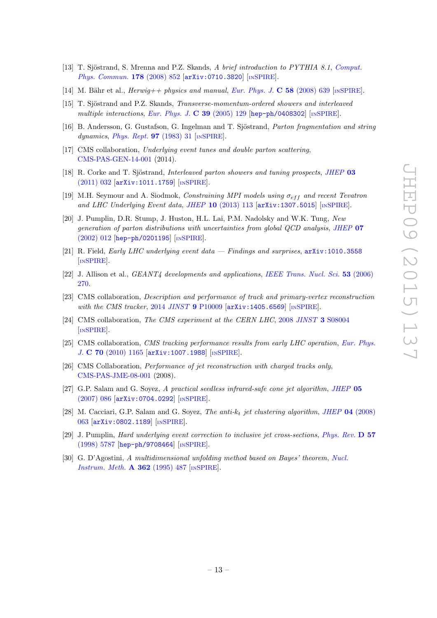- <span id="page-13-0"></span>[13] T. Sjöstrand, S. Mrenna and P.Z. Skands, A brief introduction to PYTHIA 8.1, [Comput.](http://dx.doi.org/10.1016/j.cpc.2008.01.036) [Phys. Commun.](http://dx.doi.org/10.1016/j.cpc.2008.01.036) 178 (2008) 852 [[arXiv:0710.3820](http://arxiv.org/abs/0710.3820)] [IN[SPIRE](http://inspirehep.net/search?p=find+EPRINT+arXiv:0710.3820)].
- <span id="page-13-1"></span>[14] M. Bähr et al.,  $Hervig++ physics and manual, Eur. Phys. J. C 58 (2008) 639 [NSPIRE].$  $Hervig++ physics and manual, Eur. Phys. J. C 58 (2008) 639 [NSPIRE].$  $Hervig++ physics and manual, Eur. Phys. J. C 58 (2008) 639 [NSPIRE].$  $Hervig++ physics and manual, Eur. Phys. J. C 58 (2008) 639 [NSPIRE].$  $Hervig++ physics and manual, Eur. Phys. J. C 58 (2008) 639 [NSPIRE].$
- <span id="page-13-2"></span>[15] T. Sjöstrand and P.Z. Skands, Transverse-momentum-ordered showers and interleaved multiple interactions, [Eur. Phys. J.](http://dx.doi.org/10.1140/epjc/s2004-02084-y) C 39 (2005) 129  $[hep-ph/0408302]$  $[hep-ph/0408302]$  $[hep-ph/0408302]$   $[NSPIRE]$  $[NSPIRE]$  $[NSPIRE]$ .
- <span id="page-13-3"></span>[16] B. Andersson, G. Gustafson, G. Ingelman and T. Sjöstrand, Parton fragmentation and string dynamics, [Phys. Rept.](http://dx.doi.org/10.1016/0370-1573(83)90080-7)  $97$  (1983) 31 [IN[SPIRE](http://inspirehep.net/search?p=find+J+Phys.Rept.,97,31)].
- <span id="page-13-4"></span>[17] CMS collaboration, Underlying event tunes and double parton scattering. [CMS-PAS-GEN-14-001](http://cds.cern.ch/record/1697700) (2014).
- <span id="page-13-5"></span>[18] R. Corke and T. Sjöstrand, *Interleaved parton showers and tuning prospects*, *[JHEP](http://dx.doi.org/10.1007/JHEP03(2011)032)* 03 [\(2011\) 032](http://dx.doi.org/10.1007/JHEP03(2011)032) [[arXiv:1011.1759](http://arxiv.org/abs/1011.1759)] [IN[SPIRE](http://inspirehep.net/search?p=find+EPRINT+arXiv:1011.1759)].
- <span id="page-13-6"></span>[19] M.H. Seymour and A. Siodmok, Constraining MPI models using  $\sigma_{eff}$  and recent Tevatron and LHC Underlying Event data, JHEP 10 [\(2013\) 113](http://dx.doi.org/10.1007/JHEP10(2013)113) [[arXiv:1307.5015](http://arxiv.org/abs/1307.5015)] [IN[SPIRE](http://inspirehep.net/search?p=find+EPRINT+arXiv:1307.5015)].
- <span id="page-13-7"></span>[20] J. Pumplin, D.R. Stump, J. Huston, H.L. Lai, P.M. Nadolsky and W.K. Tung, New generation of parton distributions with uncertainties from global QCD analysis, [JHEP](http://dx.doi.org/10.1088/1126-6708/2002/07/012) 07 [\(2002\) 012](http://dx.doi.org/10.1088/1126-6708/2002/07/012) [[hep-ph/0201195](http://arxiv.org/abs/hep-ph/0201195)] [IN[SPIRE](http://inspirehep.net/search?p=find+EPRINT+hep-ph/0201195)].
- <span id="page-13-8"></span>[21] R. Field, Early LHC underlying event data — Findings and surprises, [arXiv:1010.3558](http://arxiv.org/abs/1010.3558) [IN[SPIRE](http://inspirehep.net/search?p=find+EPRINT+arXiv:1010.3558)].
- <span id="page-13-9"></span>[22] J. Allison et al., *GEANT4* developments and applications, *[IEEE Trans. Nucl. Sci.](http://dx.doi.org/10.1109/TNS.2006.869826)* 53 (2006) [270.](http://dx.doi.org/10.1109/TNS.2006.869826)
- <span id="page-13-10"></span>[23] CMS collaboration, Description and performance of track and primary-vertex reconstruction with the CMS tracker,  $2014$  JINST 9 [P10009](http://dx.doi.org/10.1088/1748-0221/9/10/P10009)  $\left[$ [arXiv:1405.6569](http://arxiv.org/abs/1405.6569) $\right]$  [IN[SPIRE](http://inspirehep.net/search?p=find+EPRINT+arXiv:1405.6569)].
- <span id="page-13-11"></span>[24] CMS collaboration, The CMS experiment at the CERN LHC, 2008 JINST 3 [S08004](http://dx.doi.org/10.1088/1748-0221/3/08/S08004) [IN[SPIRE](http://inspirehep.net/search?p=find+J+JINST,3,S08004)].
- <span id="page-13-12"></span>[25] CMS collaboration, CMS tracking performance results from early LHC operation, [Eur. Phys.](http://dx.doi.org/10.1140/epjc/s10052-010-1491-3) J. C 70 [\(2010\) 1165](http://dx.doi.org/10.1140/epjc/s10052-010-1491-3) [[arXiv:1007.1988](http://arxiv.org/abs/1007.1988)] [IN[SPIRE](http://inspirehep.net/search?p=find+EPRINT+arXiv:1007.1988)].
- <span id="page-13-13"></span>[26] CMS Collaboration, Performance of jet reconstruction with charged tracks only, [CMS-PAS-JME-08-001](http://cds.cern.ch/record/1198681) (2008).
- <span id="page-13-14"></span>[27] G.P. Salam and G. Soyez, A practical seedless infrared-safe cone jet algorithm, [JHEP](http://dx.doi.org/10.1088/1126-6708/2007/05/086) 05 [\(2007\) 086](http://dx.doi.org/10.1088/1126-6708/2007/05/086) [[arXiv:0704.0292](http://arxiv.org/abs/0704.0292)] [IN[SPIRE](http://inspirehep.net/search?p=find+EPRINT+arXiv:0704.0292)].
- <span id="page-13-15"></span>[28] M. Cacciari, G.P. Salam and G. Soyez, The anti- $k_t$  jet clustering algorithm, JHEP 04 [\(2008\)](http://dx.doi.org/10.1088/1126-6708/2008/04/063) [063](http://dx.doi.org/10.1088/1126-6708/2008/04/063) [[arXiv:0802.1189](http://arxiv.org/abs/0802.1189)] [IN[SPIRE](http://inspirehep.net/search?p=find+EPRINT+arXiv:0802.1189)].
- <span id="page-13-16"></span>[29] J. Pumplin, Hard underlying event correction to inclusive jet cross-sections, [Phys. Rev.](http://dx.doi.org/10.1103/PhysRevD.57.5787) D 57 [\(1998\) 5787](http://dx.doi.org/10.1103/PhysRevD.57.5787) [[hep-ph/9708464](http://arxiv.org/abs/hep-ph/9708464)] [IN[SPIRE](http://inspirehep.net/search?p=find+EPRINT+hep-ph/9708464)].
- <span id="page-13-17"></span>[30] G. D'Agostini, A multidimensional unfolding method based on Bayes' theorem, [Nucl.](http://dx.doi.org/10.1016/0168-9002(95)00274-X) [Instrum. Meth.](http://dx.doi.org/10.1016/0168-9002(95)00274-X) **A 362** (1995) 487 [IN[SPIRE](http://inspirehep.net/search?p=find+J+Nucl.Instr.Meth.,A362,487)].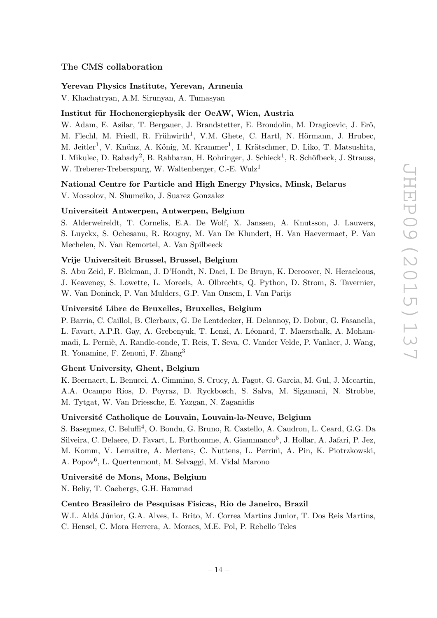#### The CMS collaboration

#### <span id="page-14-0"></span>Yerevan Physics Institute, Yerevan, Armenia

V. Khachatryan, A.M. Sirunyan, A. Tumasyan

#### Institut für Hochenergiephysik der OeAW, Wien, Austria

W. Adam, E. Asilar, T. Bergauer, J. Brandstetter, E. Brondolin, M. Dragicevic, J. Erö, M. Flechl, M. Friedl, R. Frühwirth<sup>1</sup>, V.M. Ghete, C. Hartl, N. Hörmann, J. Hrubec, M. Jeitler<sup>1</sup>, V. Knünz, A. König, M. Krammer<sup>1</sup>, I. Krätschmer, D. Liko, T. Matsushita, I. Mikulec, D. Rabady<sup>2</sup>, B. Rahbaran, H. Rohringer, J. Schieck<sup>1</sup>, R. Schöfbeck, J. Strauss, W. Treberer-Treberspurg, W. Waltenberger, C.-E. Wulz<sup>1</sup>

#### National Centre for Particle and High Energy Physics, Minsk, Belarus

V. Mossolov, N. Shumeiko, J. Suarez Gonzalez

#### Universiteit Antwerpen, Antwerpen, Belgium

S. Alderweireldt, T. Cornelis, E.A. De Wolf, X. Janssen, A. Knutsson, J. Lauwers, S. Luyckx, S. Ochesanu, R. Rougny, M. Van De Klundert, H. Van Haevermaet, P. Van Mechelen, N. Van Remortel, A. Van Spilbeeck

#### Vrije Universiteit Brussel, Brussel, Belgium

S. Abu Zeid, F. Blekman, J. D'Hondt, N. Daci, I. De Bruyn, K. Deroover, N. Heracleous, J. Keaveney, S. Lowette, L. Moreels, A. Olbrechts, Q. Python, D. Strom, S. Tavernier, W. Van Doninck, P. Van Mulders, G.P. Van Onsem, I. Van Parijs

#### Université Libre de Bruxelles, Bruxelles, Belgium

P. Barria, C. Caillol, B. Clerbaux, G. De Lentdecker, H. Delannoy, D. Dobur, G. Fasanella, L. Favart, A.P.R. Gay, A. Grebenyuk, T. Lenzi, A. Léonard, T. Maerschalk, A. Mohammadi, L. Perniè, A. Randle-conde, T. Reis, T. Seva, C. Vander Velde, P. Vanlaer, J. Wang, R. Yonamine, F. Zenoni, F. Zhang<sup>3</sup>

#### Ghent University, Ghent, Belgium

K. Beernaert, L. Benucci, A. Cimmino, S. Crucy, A. Fagot, G. Garcia, M. Gul, J. Mccartin, A.A. Ocampo Rios, D. Poyraz, D. Ryckbosch, S. Salva, M. Sigamani, N. Strobbe, M. Tytgat, W. Van Driessche, E. Yazgan, N. Zaganidis

#### Université Catholique de Louvain, Louvain-la-Neuve, Belgium

S. Basegmez, C. Beluffi<sup>4</sup>, O. Bondu, G. Bruno, R. Castello, A. Caudron, L. Ceard, G.G. Da Silveira, C. Delaere, D. Favart, L. Forthomme, A. Giammanco<sup>5</sup>, J. Hollar, A. Jafari, P. Jez, M. Komm, V. Lemaitre, A. Mertens, C. Nuttens, L. Perrini, A. Pin, K. Piotrzkowski, A. Popov<sup>6</sup> , L. Quertenmont, M. Selvaggi, M. Vidal Marono

#### Université de Mons, Mons, Belgium

N. Beliy, T. Caebergs, G.H. Hammad

#### Centro Brasileiro de Pesquisas Fisicas, Rio de Janeiro, Brazil

W.L. Aldá Júnior, G.A. Alves, L. Brito, M. Correa Martins Junior, T. Dos Reis Martins, C. Hensel, C. Mora Herrera, A. Moraes, M.E. Pol, P. Rebello Teles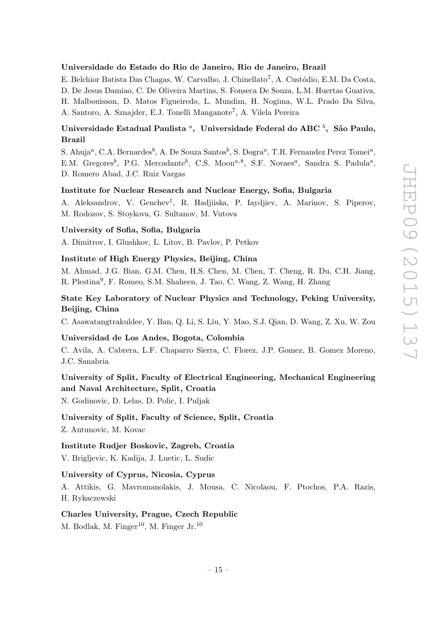#### Universidade do Estado do Rio de Janeiro, Rio de Janeiro, Brazil

E. Belchior Batista Das Chagas, W. Carvalho, J. Chinellato<sup>7</sup>, A. Custódio, E.M. Da Costa, D. De Jesus Damiao, C. De Oliveira Martins, S. Fonseca De Souza, L.M. Huertas Guativa,

H. Malbouisson, D. Matos Figueiredo, L. Mundim, H. Nogima, W.L. Prado Da Silva,

A. Santoro, A. Sznajder, E.J. Tonelli Manganote<sup>7</sup>, A. Vilela Pereira

Universidade Estadual Paulista <sup>a</sup>, Universidade Federal do ABC  $^b$ , São Paulo,

# Brazil S. Ahuja<sup>a</sup>, C.A. Bernardes<sup>b</sup>, A. De Souza Santos<sup>b</sup>, S. Dogra<sup>a</sup>, T.R. Fernandez Perez Tomei<sup>a</sup>,

E.M. Gregores<sup>b</sup>, P.G. Mercadante<sup>b</sup>, C.S. Moon<sup>a, 8</sup>, S.F. Novaes<sup>a</sup>, Sandra S. Padula<sup>a</sup>, D. Romero Abad, J.C. Ruiz Vargas

#### Institute for Nuclear Research and Nuclear Energy, Sofia, Bulgaria

A. Aleksandrov, V. Genchev† , R. Hadjiiska, P. Iaydjiev, A. Marinov, S. Piperov, M. Rodozov, S. Stoykova, G. Sultanov, M. Vutova

#### University of Sofia, Sofia, Bulgaria

A. Dimitrov, I. Glushkov, L. Litov, B. Pavlov, P. Petkov

#### Institute of High Energy Physics, Beijing, China

M. Ahmad, J.G. Bian, G.M. Chen, H.S. Chen, M. Chen, T. Cheng, R. Du, C.H. Jiang, R. Plestina<sup>9</sup>, F. Romeo, S.M. Shaheen, J. Tao, C. Wang, Z. Wang, H. Zhang

### State Key Laboratory of Nuclear Physics and Technology, Peking University, Beijing, China

C. Asawatangtrakuldee, Y. Ban, Q. Li, S. Liu, Y. Mao, S.J. Qian, D. Wang, Z. Xu, W. Zou

#### Universidad de Los Andes, Bogota, Colombia

C. Avila, A. Cabrera, L.F. Chaparro Sierra, C. Florez, J.P. Gomez, B. Gomez Moreno, J.C. Sanabria

### University of Split, Faculty of Electrical Engineering, Mechanical Engineering and Naval Architecture, Split, Croatia

N. Godinovic, D. Lelas, D. Polic, I. Puljak

#### University of Split, Faculty of Science, Split, Croatia

Z. Antunovic, M. Kovac

#### Institute Rudjer Boskovic, Zagreb, Croatia

V. Brigljevic, K. Kadija, J. Luetic, L. Sudic

#### University of Cyprus, Nicosia, Cyprus

A. Attikis, G. Mavromanolakis, J. Mousa, C. Nicolaou, F. Ptochos, P.A. Razis, H. Rykaczewski

#### Charles University, Prague, Czech Republic

M. Bodlak, M. Finger $^{10}$ , M. Finger $\rm{Jr.}^{10}$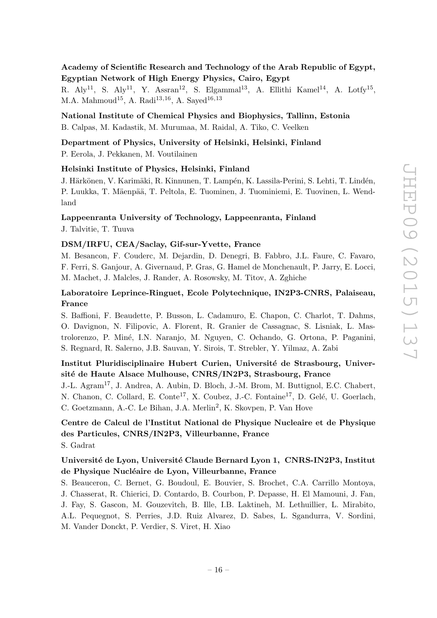### Academy of Scientific Research and Technology of the Arab Republic of Egypt, Egyptian Network of High Energy Physics, Cairo, Egypt

R. Aly<sup>11</sup>, S. Aly<sup>11</sup>, Y. Assran<sup>12</sup>, S. Elgammal<sup>13</sup>, A. Ellithi Kamel<sup>14</sup>, A. Lotfy<sup>15</sup>, M.A. Mahmoud<sup>15</sup>, A. Radi<sup>13,16</sup>, A. Sayed<sup>16,13</sup>

#### National Institute of Chemical Physics and Biophysics, Tallinn, Estonia

B. Calpas, M. Kadastik, M. Murumaa, M. Raidal, A. Tiko, C. Veelken

### Department of Physics, University of Helsinki, Helsinki, Finland

P. Eerola, J. Pekkanen, M. Voutilainen

#### Helsinki Institute of Physics, Helsinki, Finland

J. Härkönen, V. Karimäki, R. Kinnunen, T. Lampén, K. Lassila-Perini, S. Lehti, T. Lindén, P. Luukka, T. Mäenpää, T. Peltola, E. Tuominen, J. Tuominiemi, E. Tuovinen, L. Wendland

### Lappeenranta University of Technology, Lappeenranta, Finland

J. Talvitie, T. Tuuva

#### DSM/IRFU, CEA/Saclay, Gif-sur-Yvette, France

M. Besancon, F. Couderc, M. Dejardin, D. Denegri, B. Fabbro, J.L. Faure, C. Favaro, F. Ferri, S. Ganjour, A. Givernaud, P. Gras, G. Hamel de Monchenault, P. Jarry, E. Locci, M. Machet, J. Malcles, J. Rander, A. Rosowsky, M. Titov, A. Zghiche

### Laboratoire Leprince-Ringuet, Ecole Polytechnique, IN2P3-CNRS, Palaiseau, France

S. Baffioni, F. Beaudette, P. Busson, L. Cadamuro, E. Chapon, C. Charlot, T. Dahms, O. Davignon, N. Filipovic, A. Florent, R. Granier de Cassagnac, S. Lisniak, L. Mastrolorenzo, P. Min´e, I.N. Naranjo, M. Nguyen, C. Ochando, G. Ortona, P. Paganini, S. Regnard, R. Salerno, J.B. Sauvan, Y. Sirois, T. Strebler, Y. Yilmaz, A. Zabi

### Institut Pluridisciplinaire Hubert Curien, Université de Strasbourg, Université de Haute Alsace Mulhouse, CNRS/IN2P3, Strasbourg, France

J.-L. Agram17, J. Andrea, A. Aubin, D. Bloch, J.-M. Brom, M. Buttignol, E.C. Chabert, N. Chanon, C. Collard, E. Conte<sup>17</sup>, X. Coubez, J.-C. Fontaine<sup>17</sup>, D. Gelé, U. Goerlach, C. Goetzmann, A.-C. Le Bihan, J.A. Merlin<sup>2</sup>, K. Skovpen, P. Van Hove

# Centre de Calcul de l'Institut National de Physique Nucleaire et de Physique des Particules, CNRS/IN2P3, Villeurbanne, France

S. Gadrat

### Université de Lyon, Université Claude Bernard Lyon 1, CNRS-IN2P3, Institut de Physique Nucléaire de Lyon, Villeurbanne, France

S. Beauceron, C. Bernet, G. Boudoul, E. Bouvier, S. Brochet, C.A. Carrillo Montoya, J. Chasserat, R. Chierici, D. Contardo, B. Courbon, P. Depasse, H. El Mamouni, J. Fan, J. Fay, S. Gascon, M. Gouzevitch, B. Ille, I.B. Laktineh, M. Lethuillier, L. Mirabito, A.L. Pequegnot, S. Perries, J.D. Ruiz Alvarez, D. Sabes, L. Sgandurra, V. Sordini, M. Vander Donckt, P. Verdier, S. Viret, H. Xiao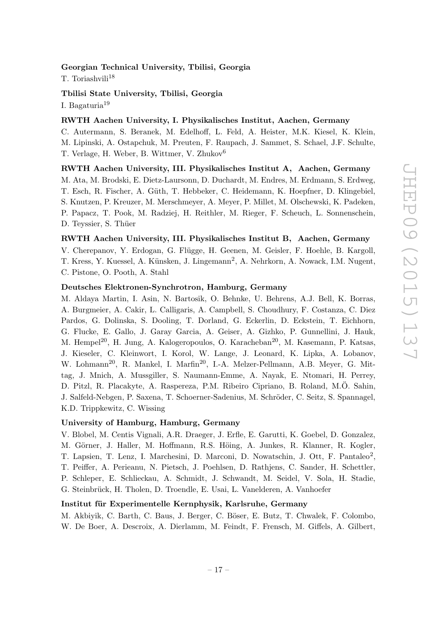#### Georgian Technical University, Tbilisi, Georgia

 $T.$  Toriashvili $^{18}$ 

Tbilisi State University, Tbilisi, Georgia I. Bagaturia<sup>19</sup>

#### RWTH Aachen University, I. Physikalisches Institut, Aachen, Germany

C. Autermann, S. Beranek, M. Edelhoff, L. Feld, A. Heister, M.K. Kiesel, K. Klein, M. Lipinski, A. Ostapchuk, M. Preuten, F. Raupach, J. Sammet, S. Schael, J.F. Schulte, T. Verlage, H. Weber, B. Wittmer, V. Zhukov<sup>6</sup>

### RWTH Aachen University, III. Physikalisches Institut A, Aachen, Germany M. Ata, M. Brodski, E. Dietz-Laursonn, D. Duchardt, M. Endres, M. Erdmann, S. Erdweg, T. Esch, R. Fischer, A. Güth, T. Hebbeker, C. Heidemann, K. Hoepfner, D. Klingebiel, S. Knutzen, P. Kreuzer, M. Merschmeyer, A. Meyer, P. Millet, M. Olschewski, K. Padeken,

P. Papacz, T. Pook, M. Radziej, H. Reithler, M. Rieger, F. Scheuch, L. Sonnenschein, D. Teyssier, S. Thüer

#### RWTH Aachen University, III. Physikalisches Institut B, Aachen, Germany

V. Cherepanov, Y. Erdogan, G. Flügge, H. Geenen, M. Geisler, F. Hoehle, B. Kargoll, T. Kress, Y. Kuessel, A. Künsken, J. Lingemann<sup>2</sup>, A. Nehrkorn, A. Nowack, I.M. Nugent, C. Pistone, O. Pooth, A. Stahl

#### Deutsches Elektronen-Synchrotron, Hamburg, Germany

M. Aldaya Martin, I. Asin, N. Bartosik, O. Behnke, U. Behrens, A.J. Bell, K. Borras, A. Burgmeier, A. Cakir, L. Calligaris, A. Campbell, S. Choudhury, F. Costanza, C. Diez Pardos, G. Dolinska, S. Dooling, T. Dorland, G. Eckerlin, D. Eckstein, T. Eichhorn, G. Flucke, E. Gallo, J. Garay Garcia, A. Geiser, A. Gizhko, P. Gunnellini, J. Hauk, M. Hempel<sup>20</sup>, H. Jung, A. Kalogeropoulos, O. Karacheban<sup>20</sup>, M. Kasemann, P. Katsas, J. Kieseler, C. Kleinwort, I. Korol, W. Lange, J. Leonard, K. Lipka, A. Lobanov, W. Lohmann<sup>20</sup>, R. Mankel, I. Marfin<sup>20</sup>, I.-A. Melzer-Pellmann, A.B. Meyer, G. Mittag, J. Mnich, A. Mussgiller, S. Naumann-Emme, A. Nayak, E. Ntomari, H. Perrey, D. Pitzl, R. Placakyte, A. Raspereza, P.M. Ribeiro Cipriano, B. Roland, M.O. Sahin, J. Salfeld-Nebgen, P. Saxena, T. Schoerner-Sadenius, M. Schröder, C. Seitz, S. Spannagel, K.D. Trippkewitz, C. Wissing

#### University of Hamburg, Hamburg, Germany

V. Blobel, M. Centis Vignali, A.R. Draeger, J. Erfle, E. Garutti, K. Goebel, D. Gonzalez, M. Görner, J. Haller, M. Hoffmann, R.S. Höing, A. Junkes, R. Klanner, R. Kogler, T. Lapsien, T. Lenz, I. Marchesini, D. Marconi, D. Nowatschin, J. Ott, F. Pantaleo<sup>2</sup>, T. Peiffer, A. Perieanu, N. Pietsch, J. Poehlsen, D. Rathjens, C. Sander, H. Schettler, P. Schleper, E. Schlieckau, A. Schmidt, J. Schwandt, M. Seidel, V. Sola, H. Stadie, G. Steinbrück, H. Tholen, D. Troendle, E. Usai, L. Vanelderen, A. Vanhoefer

#### Institut für Experimentelle Kernphysik, Karlsruhe, Germany

M. Akbiyik, C. Barth, C. Baus, J. Berger, C. Böser, E. Butz, T. Chwalek, F. Colombo, W. De Boer, A. Descroix, A. Dierlamm, M. Feindt, F. Frensch, M. Giffels, A. Gilbert,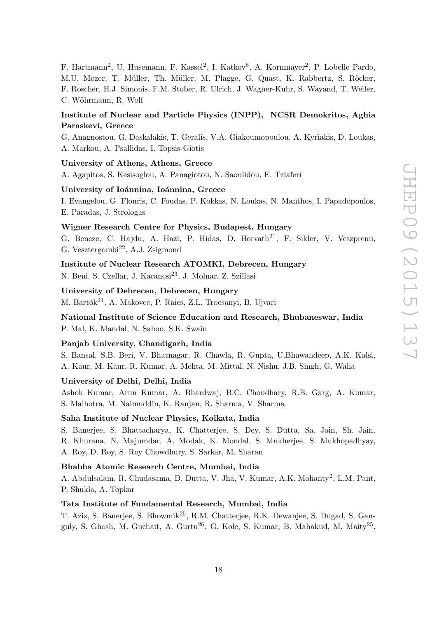F. Hartmann<sup>2</sup>, U. Husemann, F. Kassel<sup>2</sup>, I. Katkov<sup>6</sup>, A. Kornmayer<sup>2</sup>, P. Lobelle Pardo, M.U. Mozer, T. Müller, Th. Müller, M. Plagge, G. Quast, K. Rabbertz, S. Röcker, F. Roscher, H.J. Simonis, F.M. Stober, R. Ulrich, J. Wagner-Kuhr, S. Wayand, T. Weiler, C. Wöhrmann, R. Wolf

### Institute of Nuclear and Particle Physics (INPP), NCSR Demokritos, Aghia Paraskevi, Greece

G. Anagnostou, G. Daskalakis, T. Geralis, V.A. Giakoumopoulou, A. Kyriakis, D. Loukas, A. Markou, A. Psallidas, I. Topsis-Giotis

#### University of Athens, Athens, Greece

A. Agapitos, S. Kesisoglou, A. Panagiotou, N. Saoulidou, E. Tziaferi

#### University of Ioánnina, Ioánnina, Greece

I. Evangelou, G. Flouris, C. Foudas, P. Kokkas, N. Loukas, N. Manthos, I. Papadopoulos, E. Paradas, J. Strologas

#### Wigner Research Centre for Physics, Budapest, Hungary

G. Bencze, C. Hajdu, A. Hazi, P. Hidas, D. Horvath<sup>21</sup>, F. Sikler, V. Veszpremi, G. Vesztergombi<sup>22</sup>, A.J. Zsigmond

Institute of Nuclear Research ATOMKI, Debrecen, Hungary

N. Beni, S. Czellar, J. Karancsi<sup>23</sup>, J. Molnar, Z. Szillasi

### University of Debrecen, Debrecen, Hungary

M. Bartók<sup>24</sup>, A. Makovec, P. Raics, Z.L. Trocsanyi, B. Ujvari

### National Institute of Science Education and Research, Bhubaneswar, India P. Mal, K. Mandal, N. Sahoo, S.K. Swain

Panjab University, Chandigarh, India S. Bansal, S.B. Beri, V. Bhatnagar, R. Chawla, R. Gupta, U.Bhawandeep, A.K. Kalsi,

A. Kaur, M. Kaur, R. Kumar, A. Mehta, M. Mittal, N. Nishu, J.B. Singh, G. Walia

#### University of Delhi, Delhi, India

Ashok Kumar, Arun Kumar, A. Bhardwaj, B.C. Choudhary, R.B. Garg, A. Kumar, S. Malhotra, M. Naimuddin, K. Ranjan, R. Sharma, V. Sharma

#### Saha Institute of Nuclear Physics, Kolkata, India

S. Banerjee, S. Bhattacharya, K. Chatterjee, S. Dey, S. Dutta, Sa. Jain, Sh. Jain, R. Khurana, N. Majumdar, A. Modak, K. Mondal, S. Mukherjee, S. Mukhopadhyay, A. Roy, D. Roy, S. Roy Chowdhury, S. Sarkar, M. Sharan

#### Bhabha Atomic Research Centre, Mumbai, India

A. Abdulsalam, R. Chudasama, D. Dutta, V. Jha, V. Kumar, A.K. Mohanty<sup>2</sup>, L.M. Pant, P. Shukla, A. Topkar

### Tata Institute of Fundamental Research, Mumbai, India

T. Aziz, S. Banerjee, S. Bhowmik25, R.M. Chatterjee, R.K. Dewanjee, S. Dugad, S. Ganguly, S. Ghosh, M. Guchait, A. Gurtu<sup>26</sup>, G. Kole, S. Kumar, B. Mahakud, M. Maity<sup>25</sup>,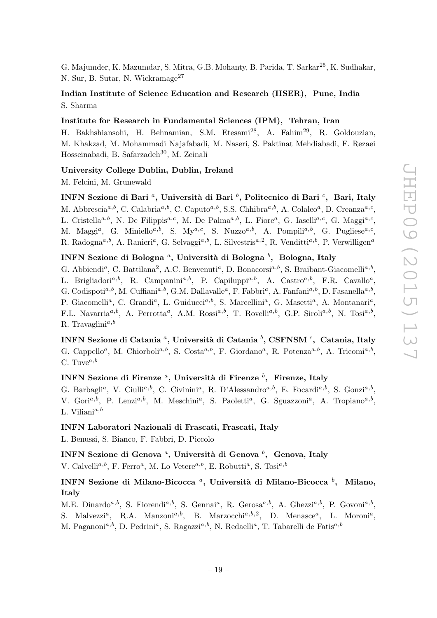G. Majumder, K. Mazumdar, S. Mitra, G.B. Mohanty, B. Parida, T. Sarkar<sup>25</sup>, K. Sudhakar, N. Sur, B. Sutar, N. Wickramage<sup>27</sup>

### Indian Institute of Science Education and Research (IISER), Pune, India S. Sharma

#### Institute for Research in Fundamental Sciences (IPM), Tehran, Iran

H. Bakhshiansohi, H. Behnamian, S.M. Etesami28, A. Fahim29, R. Goldouzian, M. Khakzad, M. Mohammadi Najafabadi, M. Naseri, S. Paktinat Mehdiabadi, F. Rezaei Hosseinabadi, B. Safarzadeh<sup>30</sup>, M. Zeinali

#### University College Dublin, Dublin, Ireland

M. Felcini, M. Grunewald

INFN Sezione di Bari <sup>a</sup>, Università di Bari  $^b$ , Politecnico di Bari  $^c$ , Bari, Italy M. Abbrescia<sup>a,b</sup>, C. Calabria<sup>a,b</sup>, C. Caputo<sup>a,b</sup>, S.S. Chhibra<sup>a,b</sup>, A. Colaleo<sup>a</sup>, D. Creanza<sup>a,c</sup>, L. Cristella<sup>a,b</sup>, N. De Filippis<sup>a,c</sup>, M. De Palma<sup>a,b</sup>, L. Fiore<sup>a</sup>, G. Iaselli<sup>a,c</sup>, G. Maggi<sup>a,c</sup>, M. Maggi<sup>a</sup>, G. Miniello<sup>a,b</sup>, S. My<sup>a,c</sup>, S. Nuzzo<sup>a,b</sup>, A. Pompili<sup>a,b</sup>, G. Pugliese<sup>a,c</sup>, R. Radogna<sup>a,b</sup>, A. Ranieri<sup>a</sup>, G. Selvaggi<sup>a,b</sup>, L. Silvestris<sup>a,2</sup>, R. Venditti<sup>a,b</sup>, P. Verwilligen<sup>a</sup>

### INFN Sezione di Bologna <sup>a</sup>, Università di Bologna  $^b$ , Bologna, Italy

G. Abbiendi<sup>a</sup>, C. Battilana<sup>2</sup>, A.C. Benvenuti<sup>a</sup>, D. Bonacorsi<sup>a,b</sup>, S. Braibant-Giacomelli<sup>a,b</sup>, L. Brigliadori<sup>a,b</sup>, R. Campanini<sup>a,b</sup>, P. Capiluppi<sup>a,b</sup>, A. Castro<sup>a,b</sup>, F.R. Cavallo<sup>a</sup>, G. Codispoti<sup>a,b</sup>, M. Cuffiani<sup>a,b</sup>, G.M. Dallavalle<sup>a</sup>, F. Fabbri<sup>a</sup>, A. Fanfani<sup>a,b</sup>, D. Fasanella<sup>a,b</sup>, P. Giacomelli<sup>a</sup>, C. Grandi<sup>a</sup>, L. Guiducci<sup>a,b</sup>, S. Marcellini<sup>a</sup>, G. Masetti<sup>a</sup>, A. Montanari<sup>a</sup>, F.L. Navarria<sup>a,b</sup>, A. Perrotta<sup>a</sup>, A.M. Rossi<sup>a,b</sup>, T. Rovelli<sup>a,b</sup>, G.P. Siroli<sup>a,b</sup>, N. Tosi<sup>a,b</sup>, R. Travaglini<sup>a,b</sup>

INFN Sezione di Catania <sup>a</sup>, Università di Catania <sup>b</sup>, CSFNSM <sup>c</sup>, Catania, Italy G. Cappello<sup>a</sup>, M. Chiorboli<sup>a,b</sup>, S. Costa<sup>a,b</sup>, F. Giordano<sup>a</sup>, R. Potenza<sup>a,b</sup>, A. Tricomi<sup>a,b</sup>, C. Tuve<sup> $a,b$ </sup>

### INFN Sezione di Firenze <sup>a</sup>, Università di Firenze  $^b$ , Firenze, Italy

G. Barbagli<sup>a</sup>, V. Ciulli<sup>a,b</sup>, C. Civinini<sup>a</sup>, R. D'Alessandro<sup>a,b</sup>, E. Focardi<sup>a,b</sup>, S. Gonzi<sup>a,b</sup>, V. Gori<sup>a,b</sup>, P. Lenzi<sup>a,b</sup>, M. Meschini<sup>a</sup>, S. Paoletti<sup>a</sup>, G. Sguazzoni<sup>a</sup>, A. Tropiano<sup>a,b</sup>, L. Viliani $a,b$ 

#### INFN Laboratori Nazionali di Frascati, Frascati, Italy

L. Benussi, S. Bianco, F. Fabbri, D. Piccolo

INFN Sezione di Genova  $^a,$  Università di Genova  $^b, \,$  Genova, Italy

V. Calvelli<sup>a,b</sup>, F. Ferro<sup>a</sup>, M. Lo Vetere<sup>a,b</sup>, E. Robutti<sup>a</sup>, S. Tosi<sup>a,b</sup>

### INFN Sezione di Milano-Bicocca <sup>a</sup>, Università di Milano-Bicocca <sup>b</sup>, Milano, Italy

M.E. Dinardo<sup>a,b</sup>, S. Fiorendi<sup>a,b</sup>, S. Gennai<sup>a</sup>, R. Gerosa<sup>a,b</sup>, A. Ghezzi<sup>a,b</sup>, P. Govoni<sup>a,b</sup>, S. Malvezzi<sup>a</sup>, R.A. Manzoni<sup>a,b</sup>, B. Marzocchi<sup>a,b,2</sup>, D. Menasce<sup>a</sup>, L. Moroni<sup>a</sup>, M. Paganoni<sup>a,b</sup>, D. Pedrini<sup>a</sup>, S. Ragazzi<sup>a,b</sup>, N. Redaelli<sup>a</sup>, T. Tabarelli de Fatis<sup>a,b</sup>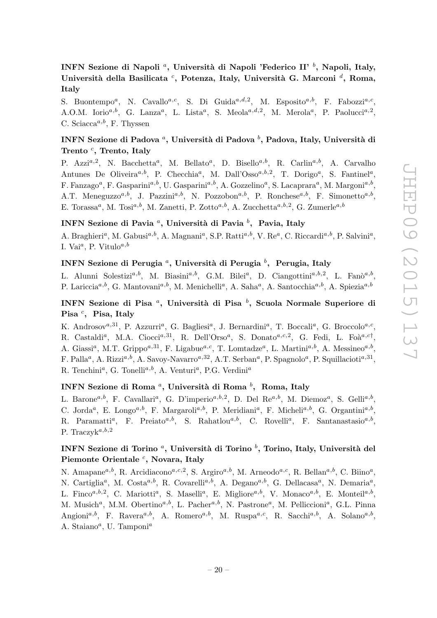### INFN Sezione di Napoli <sup>a</sup>, Università di Napoli 'Federico II'  $^b$ , Napoli, Italy, Università della Basilicata  $^c$ , Potenza, Italy, Università G. Marconi  $^d$ , Roma, Italy

S. Buontempo<sup>a</sup>, N. Cavallo<sup>a,c</sup>, S. Di Guida<sup>a,d,2</sup>, M. Esposito<sup>a,b</sup>, F. Fabozzi<sup>a,c</sup>, A.O.M. Iorio<sup>a,b</sup>, G. Lanza<sup>a</sup>, L. Lista<sup>a</sup>, S. Meola<sup>a,d,2</sup>, M. Merola<sup>a</sup>, P. Paolucci<sup>a,2</sup>, C. Sciacca<sup> $a,b$ </sup>, F. Thyssen

### INFN Sezione di Padova <sup>a</sup>, Università di Padova  $^b$ , Padova, Italy, Università di  $Trento<sup>c</sup>$ , Trento, Italy

P. Azzi<sup>a, 2</sup>, N. Bacchetta<sup>a</sup>, M. Bellato<sup>a</sup>, D. Bisello<sup>a, b</sup>, R. Carlin<sup>a, b</sup>, A. Carvalho Antunes De Oliveira<sup>a,b</sup>, P. Checchia<sup>a</sup>, M. Dall'Osso<sup>a,b,2</sup>, T. Dorigo<sup>a</sup>, S. Fantinel<sup>a</sup>, F. Fanzago<sup>a</sup>, F. Gasparini<sup>a,b</sup>, U. Gasparini<sup>a,b</sup>, A. Gozzelino<sup>a</sup>, S. Lacaprara<sup>a</sup>, M. Margoni<sup>a,b</sup>, A.T. Meneguzzo<sup>a,b</sup>, J. Pazzini<sup>a,b</sup>, N. Pozzobon<sup>a,b</sup>, P. Ronchese<sup>a,b</sup>, F. Simonetto<sup>a,b</sup>, E. Torassa<sup>a</sup>, M. Tosi<sup>a,b</sup>, M. Zanetti, P. Zotto<sup>a,b</sup>, A. Zucchetta<sup>a,b,2</sup>, G. Zumerle<sup>a,b</sup>

### INFN Sezione di Pavia  $^a,$  Università di Pavia  $^b, \, \,$  Pavia, Italy

A. Braghieri<sup>a</sup>, M. Gabusi<sup>a,b</sup>, A. Magnani<sup>a</sup>, S.P. Ratti<sup>a,b</sup>, V. Re<sup>a</sup>, C. Riccardi<sup>a,b</sup>, P. Salvini<sup>a</sup>, I. Vai<sup>a</sup>, P. Vitulo<sup>a,b</sup>

### INFN Sezione di Perugia  $^a,$  Università di Perugia  $^b, \,$  Perugia, Italy

L. Alunni Solestizi<sup>a,b</sup>, M. Biasini<sup>a,b</sup>, G.M. Bilei<sup>a</sup>, D. Ciangottini<sup>a,b,2</sup>, L. Fanò<sup>a,b</sup>, P. Lariccia<sup>a,b</sup>, G. Mantovani<sup>a,b</sup>, M. Menichelli<sup>a</sup>, A. Saha<sup>a</sup>, A. Santocchia<sup>a,b</sup>, A. Spiezia<sup>a,b</sup>

### INFN Sezione di Pisa <sup>a</sup>, Università di Pisa <sup>b</sup>, Scuola Normale Superiore di Pisa<sup>c</sup>, Pisa, Italy

K. Androsov<sup>a, 31</sup>, P. Azzurri<sup>a</sup>, G. Bagliesi<sup>a</sup>, J. Bernardini<sup>a</sup>, T. Boccali<sup>a</sup>, G. Broccolo<sup>a, c</sup>, R. Castaldi<sup>a</sup>, M.A. Ciocci<sup>a,31</sup>, R. Dell'Orso<sup>a</sup>, S. Donato<sup>a,c,2</sup>, G. Fedi, L. Foà<sup>a,c†</sup>, A. Giassi<sup>a</sup>, M.T. Grippo<sup>a,31</sup>, F. Ligabue<sup>a,c</sup>, T. Lomtadze<sup>a</sup>, L. Martini<sup>a,b</sup>, A. Messineo<sup>a,b</sup>, F. Palla<sup>a</sup>, A. Rizzi<sup>a,b</sup>, A. Savoy-Navarro<sup>a, 32</sup>, A.T. Serban<sup>a</sup>, P. Spagnolo<sup>a</sup>, P. Squillacioti<sup>a, 31</sup>, R. Tenchini<sup>a</sup>, G. Tonelli<sup>a,b</sup>, A. Venturi<sup>a</sup>, P.G. Verdini<sup>a</sup>

### INFN Sezione di Roma  $^a,$  Università di Roma  $^b, \, \,$  Roma, Italy

L. Barone<sup>a,b</sup>, F. Cavallari<sup>a</sup>, G. D'imperio<sup>a,b,2</sup>, D. Del Re<sup>a,b</sup>, M. Diemoz<sup>a</sup>, S. Gelli<sup>a,b</sup>, C. Jorda<sup>a</sup>, E. Longo<sup>a,b</sup>, F. Margaroli<sup>a,b</sup>, P. Meridiani<sup>a</sup>, F. Micheli<sup>a,b</sup>, G. Organtini<sup>a,b</sup>, R. Paramatti<sup>a</sup>, F. Preiato<sup>a,b</sup>, S. Rahatlou<sup>a,b</sup>, C. Rovelli<sup>a</sup>, F. Santanastasio<sup>a,b</sup>, P. Traczyk $a,b,2$ 

### INFN Sezione di Torino <sup>a</sup>, Università di Torino  $^b,$  Torino, Italy, Università del Piemonte Orientale  $^c$ , Novara, Italy

N. Amapane<sup>a,b</sup>, R. Arcidiacono<sup>a,c,2</sup>, S. Argiro<sup>a,b</sup>, M. Arneodo<sup>a,c</sup>, R. Bellan<sup>a,b</sup>, C. Biino<sup>a</sup>, N. Cartiglia<sup>a</sup>, M. Costa<sup>a,b</sup>, R. Covarelli<sup>a,b</sup>, A. Degano<sup>a,b</sup>, G. Dellacasa<sup>a</sup>, N. Demaria<sup>a</sup>, L. Finco<sup>a,b,2</sup>, C. Mariotti<sup>a</sup>, S. Maselli<sup>a</sup>, E. Migliore<sup>a,b</sup>, V. Monaco<sup>a,b</sup>, E. Monteil<sup>a,b</sup>, M. Musich<sup>a</sup>, M.M. Obertino<sup>a,b</sup>, L. Pacher<sup>a,b</sup>, N. Pastrone<sup>a</sup>, M. Pelliccioni<sup>a</sup>, G.L. Pinna Angioni<sup>a,b</sup>, F. Ravera<sup>a,b</sup>, A. Romero<sup>a,b</sup>, M. Ruspa<sup>a,c</sup>, R. Sacchi<sup>a,b</sup>, A. Solano<sup>a,b</sup>, A. Staiano<sup>a</sup>, U. Tamponi<sup>a</sup>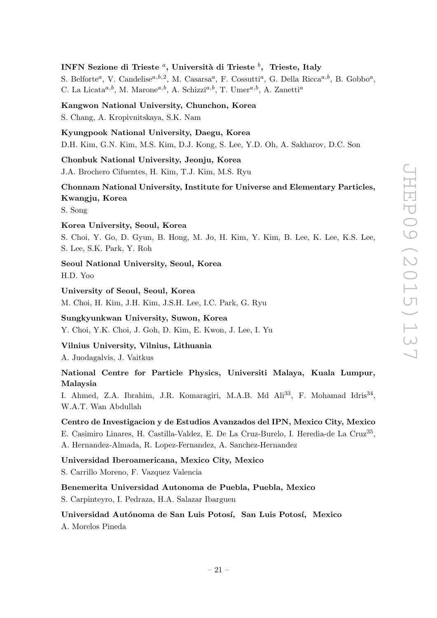### INFN Sezione di Trieste <sup>a</sup>, Università di Trieste  $^b$ , Trieste, Italy

S. Belforte<sup>a</sup>, V. Candelise<sup>a,b,2</sup>, M. Casarsa<sup>a</sup>, F. Cossutti<sup>a</sup>, G. Della Ricca<sup>a,b</sup>, B. Gobbo<sup>a</sup>, C. La Licata<sup>a,b</sup>, M. Marone<sup>a,b</sup>, A. Schizzi<sup>a,b</sup>, T. Umer<sup>a,b</sup>, A. Zanetti<sup>a</sup>

Kangwon National University, Chunchon, Korea

S. Chang, A. Kropivnitskaya, S.K. Nam

#### Kyungpook National University, Daegu, Korea

D.H. Kim, G.N. Kim, M.S. Kim, D.J. Kong, S. Lee, Y.D. Oh, A. Sakharov, D.C. Son

#### Chonbuk National University, Jeonju, Korea

J.A. Brochero Cifuentes, H. Kim, T.J. Kim, M.S. Ryu

### Chonnam National University, Institute for Universe and Elementary Particles, Kwangju, Korea

S. Song

#### Korea University, Seoul, Korea

S. Choi, Y. Go, D. Gyun, B. Hong, M. Jo, H. Kim, Y. Kim, B. Lee, K. Lee, K.S. Lee, S. Lee, S.K. Park, Y. Roh

Seoul National University, Seoul, Korea H.D. Yoo

University of Seoul, Seoul, Korea M. Choi, H. Kim, J.H. Kim, J.S.H. Lee, I.C. Park, G. Ryu

#### Sungkyunkwan University, Suwon, Korea

Y. Choi, Y.K. Choi, J. Goh, D. Kim, E. Kwon, J. Lee, I. Yu

#### Vilnius University, Vilnius, Lithuania

A. Juodagalvis, J. Vaitkus

### National Centre for Particle Physics, Universiti Malaya, Kuala Lumpur, Malaysia

I. Ahmed, Z.A. Ibrahim, J.R. Komaragiri, M.A.B. Md Ali<sup>33</sup>, F. Mohamad Idris<sup>34</sup>, W.A.T. Wan Abdullah

#### Centro de Investigacion y de Estudios Avanzados del IPN, Mexico City, Mexico

E. Casimiro Linares, H. Castilla-Valdez, E. De La Cruz-Burelo, I. Heredia-de La Cruz<sup>35</sup>, A. Hernandez-Almada, R. Lopez-Fernandez, A. Sanchez-Hernandez

#### Universidad Iberoamericana, Mexico City, Mexico

S. Carrillo Moreno, F. Vazquez Valencia

#### Benemerita Universidad Autonoma de Puebla, Puebla, Mexico

S. Carpinteyro, I. Pedraza, H.A. Salazar Ibarguen

### Universidad Autónoma de San Luis Potosí, San Luis Potosí, Mexico

A. Morelos Pineda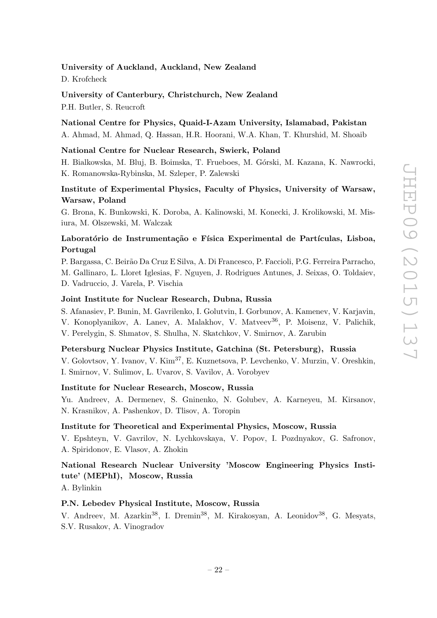#### University of Auckland, Auckland, New Zealand

D. Krofcheck

University of Canterbury, Christchurch, New Zealand P.H. Butler, S. Reucroft

#### National Centre for Physics, Quaid-I-Azam University, Islamabad, Pakistan

A. Ahmad, M. Ahmad, Q. Hassan, H.R. Hoorani, W.A. Khan, T. Khurshid, M. Shoaib

#### National Centre for Nuclear Research, Swierk, Poland

H. Bialkowska, M. Bluj, B. Boimska, T. Frueboes, M. G´orski, M. Kazana, K. Nawrocki, K. Romanowska-Rybinska, M. Szleper, P. Zalewski

### Institute of Experimental Physics, Faculty of Physics, University of Warsaw, Warsaw, Poland

G. Brona, K. Bunkowski, K. Doroba, A. Kalinowski, M. Konecki, J. Krolikowski, M. Misiura, M. Olszewski, M. Walczak

### Laboratório de Instrumentação e Física Experimental de Partículas, Lisboa, Portugal

P. Bargassa, C. Beirão Da Cruz E Silva, A. Di Francesco, P. Faccioli, P.G. Ferreira Parracho, M. Gallinaro, L. Lloret Iglesias, F. Nguyen, J. Rodrigues Antunes, J. Seixas, O. Toldaiev, D. Vadruccio, J. Varela, P. Vischia

#### Joint Institute for Nuclear Research, Dubna, Russia

S. Afanasiev, P. Bunin, M. Gavrilenko, I. Golutvin, I. Gorbunov, A. Kamenev, V. Karjavin, V. Konoplyanikov, A. Lanev, A. Malakhov, V. Matveev<sup>36</sup>, P. Moisenz, V. Palichik, V. Perelygin, S. Shmatov, S. Shulha, N. Skatchkov, V. Smirnov, A. Zarubin

#### Petersburg Nuclear Physics Institute, Gatchina (St. Petersburg), Russia

V. Golovtsov, Y. Ivanov, V. Kim37, E. Kuznetsova, P. Levchenko, V. Murzin, V. Oreshkin, I. Smirnov, V. Sulimov, L. Uvarov, S. Vavilov, A. Vorobyev

#### Institute for Nuclear Research, Moscow, Russia

Yu. Andreev, A. Dermenev, S. Gninenko, N. Golubev, A. Karneyeu, M. Kirsanov, N. Krasnikov, A. Pashenkov, D. Tlisov, A. Toropin

#### Institute for Theoretical and Experimental Physics, Moscow, Russia

V. Epshteyn, V. Gavrilov, N. Lychkovskaya, V. Popov, I. Pozdnyakov, G. Safronov, A. Spiridonov, E. Vlasov, A. Zhokin

### National Research Nuclear University 'Moscow Engineering Physics Institute' (MEPhI), Moscow, Russia

A. Bylinkin

#### P.N. Lebedev Physical Institute, Moscow, Russia

V. Andreev, M. Azarkin<sup>38</sup>, I. Dremin<sup>38</sup>, M. Kirakosyan, A. Leonidov<sup>38</sup>, G. Mesyats, S.V. Rusakov, A. Vinogradov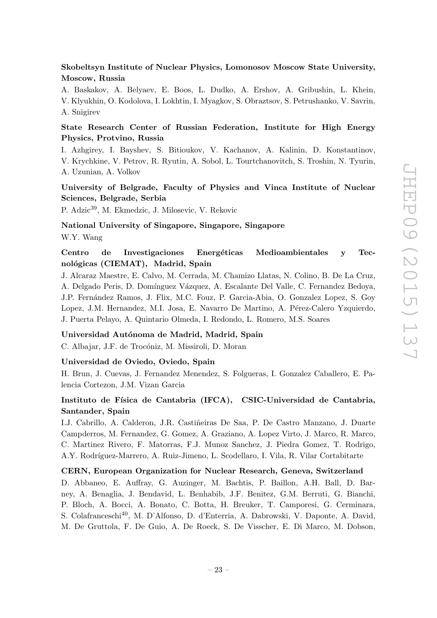### Skobeltsyn Institute of Nuclear Physics, Lomonosov Moscow State University, Moscow, Russia

A. Baskakov, A. Belyaev, E. Boos, L. Dudko, A. Ershov, A. Gribushin, L. Khein, V. Klyukhin, O. Kodolova, I. Lokhtin, I. Myagkov, S. Obraztsov, S. Petrushanko, V. Savrin, A. Snigirev

### State Research Center of Russian Federation, Institute for High Energy Physics, Protvino, Russia

I. Azhgirey, I. Bayshev, S. Bitioukov, V. Kachanov, A. Kalinin, D. Konstantinov,

V. Krychkine, V. Petrov, R. Ryutin, A. Sobol, L. Tourtchanovitch, S. Troshin, N. Tyurin, A. Uzunian, A. Volkov

### University of Belgrade, Faculty of Physics and Vinca Institute of Nuclear Sciences, Belgrade, Serbia

P. Adzic39, M. Ekmedzic, J. Milosevic, V. Rekovic

National University of Singapore, Singapore, Singapore W.Y. Wang

### Centro de Investigaciones Energéticas Medioambientales y Tecnológicas (CIEMAT), Madrid, Spain

J. Alcaraz Maestre, E. Calvo, M. Cerrada, M. Chamizo Llatas, N. Colino, B. De La Cruz, A. Delgado Peris, D. Domínguez Vázquez, A. Escalante Del Valle, C. Fernandez Bedoya, J.P. Fern´andez Ramos, J. Flix, M.C. Fouz, P. Garcia-Abia, O. Gonzalez Lopez, S. Goy Lopez, J.M. Hernandez, M.I. Josa, E. Navarro De Martino, A. Pérez-Calero Yzquierdo, J. Puerta Pelayo, A. Quintario Olmeda, I. Redondo, L. Romero, M.S. Soares

### Universidad Autónoma de Madrid, Madrid, Spain

C. Albajar, J.F. de Trocóniz, M. Missiroli, D. Moran

### Universidad de Oviedo, Oviedo, Spain

H. Brun, J. Cuevas, J. Fernandez Menendez, S. Folgueras, I. Gonzalez Caballero, E. Palencia Cortezon, J.M. Vizan Garcia

### Instituto de Física de Cantabria (IFCA), CSIC-Universidad de Cantabria, Santander, Spain

I.J. Cabrillo, A. Calderon, J.R. Castiñeiras De Saa, P. De Castro Manzano, J. Duarte Campderros, M. Fernandez, G. Gomez, A. Graziano, A. Lopez Virto, J. Marco, R. Marco, C. Martinez Rivero, F. Matorras, F.J. Munoz Sanchez, J. Piedra Gomez, T. Rodrigo, A.Y. Rodríguez-Marrero, A. Ruiz-Jimeno, L. Scodellaro, I. Vila, R. Vilar Cortabitarte

### CERN, European Organization for Nuclear Research, Geneva, Switzerland

D. Abbaneo, E. Auffray, G. Auzinger, M. Bachtis, P. Baillon, A.H. Ball, D. Barney, A. Benaglia, J. Bendavid, L. Benhabib, J.F. Benitez, G.M. Berruti, G. Bianchi, P. Bloch, A. Bocci, A. Bonato, C. Botta, H. Breuker, T. Camporesi, G. Cerminara, S. Colafranceschi40, M. D'Alfonso, D. d'Enterria, A. Dabrowski, V. Daponte, A. David, M. De Gruttola, F. De Guio, A. De Roeck, S. De Visscher, E. Di Marco, M. Dobson,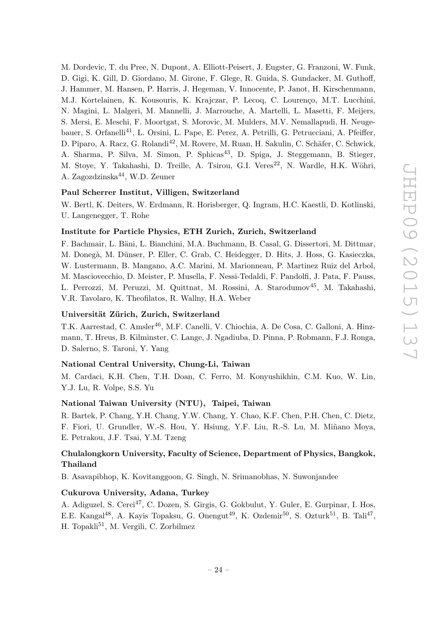M. Dordevic, T. du Pree, N. Dupont, A. Elliott-Peisert, J. Eugster, G. Franzoni, W. Funk, D. Gigi, K. Gill, D. Giordano, M. Girone, F. Glege, R. Guida, S. Gundacker, M. Guthoff, J. Hammer, M. Hansen, P. Harris, J. Hegeman, V. Innocente, P. Janot, H. Kirschenmann, M.J. Kortelainen, K. Kousouris, K. Krajczar, P. Lecoq, C. Lourenço, M.T. Lucchini, N. Magini, L. Malgeri, M. Mannelli, J. Marrouche, A. Martelli, L. Masetti, F. Meijers, S. Mersi, E. Meschi, F. Moortgat, S. Morovic, M. Mulders, M.V. Nemallapudi, H. Neugebauer, S. Orfanelli41, L. Orsini, L. Pape, E. Perez, A. Petrilli, G. Petrucciani, A. Pfeiffer, D. Piparo, A. Racz, G. Rolandi<sup>42</sup>, M. Rovere, M. Ruan, H. Sakulin, C. Schäfer, C. Schwick, A. Sharma, P. Silva, M. Simon, P. Sphicas<sup>43</sup>, D. Spiga, J. Steggemann, B. Stieger, M. Stoye, Y. Takahashi, D. Treille, A. Tsirou, G.I. Veres<sup>22</sup>, N. Wardle, H.K. Wöhri, A. Zagozdzinska44, W.D. Zeuner

### Paul Scherrer Institut, Villigen, Switzerland

W. Bertl, K. Deiters, W. Erdmann, R. Horisberger, Q. Ingram, H.C. Kaestli, D. Kotlinski, U. Langenegger, T. Rohe

#### Institute for Particle Physics, ETH Zurich, Zurich, Switzerland

F. Bachmair, L. Bäni, L. Bianchini, M.A. Buchmann, B. Casal, G. Dissertori, M. Dittmar, M. Donegà, M. Dünser, P. Eller, C. Grab, C. Heidegger, D. Hits, J. Hoss, G. Kasieczka, W. Lustermann, B. Mangano, A.C. Marini, M. Marionneau, P. Martinez Ruiz del Arbol, M. Masciovecchio, D. Meister, P. Musella, F. Nessi-Tedaldi, F. Pandolfi, J. Pata, F. Pauss, L. Perrozzi, M. Peruzzi, M. Quittnat, M. Rossini, A. Starodumov<sup>45</sup>, M. Takahashi, V.R. Tavolaro, K. Theofilatos, R. Wallny, H.A. Weber

#### Universität Zürich, Zurich, Switzerland

T.K. Aarrestad, C. Amsler<sup>46</sup>, M.F. Canelli, V. Chiochia, A. De Cosa, C. Galloni, A. Hinzmann, T. Hreus, B. Kilminster, C. Lange, J. Ngadiuba, D. Pinna, P. Robmann, F.J. Ronga, D. Salerno, S. Taroni, Y. Yang

#### National Central University, Chung-Li, Taiwan

M. Cardaci, K.H. Chen, T.H. Doan, C. Ferro, M. Konyushikhin, C.M. Kuo, W. Lin, Y.J. Lu, R. Volpe, S.S. Yu

#### National Taiwan University (NTU), Taipei, Taiwan

R. Bartek, P. Chang, Y.H. Chang, Y.W. Chang, Y. Chao, K.F. Chen, P.H. Chen, C. Dietz, F. Fiori, U. Grundler, W.-S. Hou, Y. Hsiung, Y.F. Liu, R.-S. Lu, M. Mi˜nano Moya, E. Petrakou, J.F. Tsai, Y.M. Tzeng

### Chulalongkorn University, Faculty of Science, Department of Physics, Bangkok, Thailand

B. Asavapibhop, K. Kovitanggoon, G. Singh, N. Srimanobhas, N. Suwonjandee

#### Cukurova University, Adana, Turkey

A. Adiguzel, S. Cerci<sup>47</sup>, C. Dozen, S. Girgis, G. Gokbulut, Y. Guler, E. Gurpinar, I. Hos, E.E. Kangal<sup>48</sup>, A. Kayis Topaksu, G. Onengut<sup>49</sup>, K. Ozdemir<sup>50</sup>, S. Ozturk<sup>51</sup>, B. Tali<sup>47</sup>, H. Topakli<sup>51</sup>, M. Vergili, C. Zorbilmez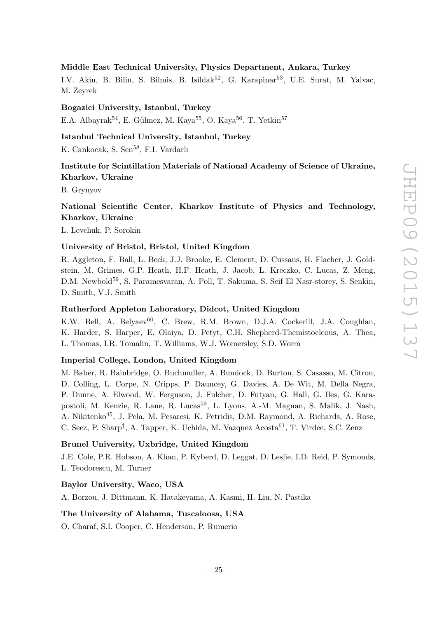#### Middle East Technical University, Physics Department, Ankara, Turkey

I.V. Akin, B. Bilin, S. Bilmis, B. Isildak<sup>52</sup>, G. Karapinar<sup>53</sup>, U.E. Surat, M. Yalvac, M. Zeyrek

#### Bogazici University, Istanbul, Turkey

E.A. Albayrak<sup>54</sup>, E. Gülmez, M. Kaya<sup>55</sup>, O. Kaya<sup>56</sup>, T. Yetkin<sup>57</sup>

#### Istanbul Technical University, Istanbul, Turkey

K. Cankocak, S. Sen<sup>58</sup>, F.I. Vardarlı

### Institute for Scintillation Materials of National Academy of Science of Ukraine, Kharkov, Ukraine

B. Grynyov

### National Scientific Center, Kharkov Institute of Physics and Technology, Kharkov, Ukraine

L. Levchuk, P. Sorokin

#### University of Bristol, Bristol, United Kingdom

R. Aggleton, F. Ball, L. Beck, J.J. Brooke, E. Clement, D. Cussans, H. Flacher, J. Goldstein, M. Grimes, G.P. Heath, H.F. Heath, J. Jacob, L. Kreczko, C. Lucas, Z. Meng, D.M. Newbold<sup>59</sup>, S. Paramesvaran, A. Poll, T. Sakuma, S. Seif El Nasr-storey, S. Senkin, D. Smith, V.J. Smith

#### Rutherford Appleton Laboratory, Didcot, United Kingdom

K.W. Bell, A. Belyaev<sup>60</sup>, C. Brew, R.M. Brown, D.J.A. Cockerill, J.A. Coughlan, K. Harder, S. Harper, E. Olaiya, D. Petyt, C.H. Shepherd-Themistocleous, A. Thea, L. Thomas, I.R. Tomalin, T. Williams, W.J. Womersley, S.D. Worm

#### Imperial College, London, United Kingdom

M. Baber, R. Bainbridge, O. Buchmuller, A. Bundock, D. Burton, S. Casasso, M. Citron, D. Colling, L. Corpe, N. Cripps, P. Dauncey, G. Davies, A. De Wit, M. Della Negra, P. Dunne, A. Elwood, W. Ferguson, J. Fulcher, D. Futyan, G. Hall, G. Iles, G. Karapostoli, M. Kenzie, R. Lane, R. Lucas59, L. Lyons, A.-M. Magnan, S. Malik, J. Nash, A. Nikitenko<sup>45</sup>, J. Pela, M. Pesaresi, K. Petridis, D.M. Raymond, A. Richards, A. Rose, C. Seez, P. Sharp<sup>†</sup>, A. Tapper, K. Uchida, M. Vazquez Acosta<sup>61</sup>, T. Virdee, S.C. Zenz

#### Brunel University, Uxbridge, United Kingdom

J.E. Cole, P.R. Hobson, A. Khan, P. Kyberd, D. Leggat, D. Leslie, I.D. Reid, P. Symonds, L. Teodorescu, M. Turner

#### Baylor University, Waco, USA

A. Borzou, J. Dittmann, K. Hatakeyama, A. Kasmi, H. Liu, N. Pastika

#### The University of Alabama, Tuscaloosa, USA

O. Charaf, S.I. Cooper, C. Henderson, P. Rumerio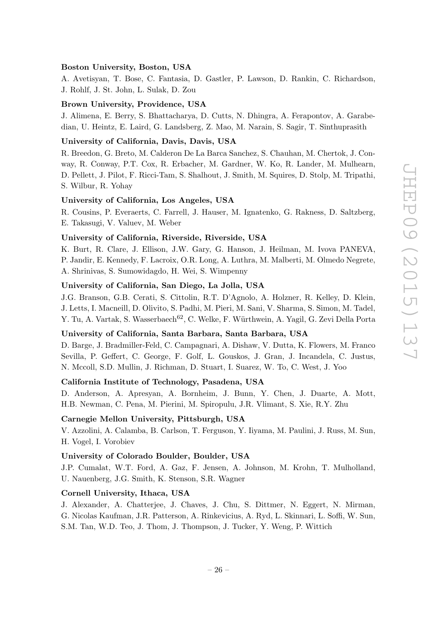#### Boston University, Boston, USA

A. Avetisyan, T. Bose, C. Fantasia, D. Gastler, P. Lawson, D. Rankin, C. Richardson, J. Rohlf, J. St. John, L. Sulak, D. Zou

#### Brown University, Providence, USA

J. Alimena, E. Berry, S. Bhattacharya, D. Cutts, N. Dhingra, A. Ferapontov, A. Garabedian, U. Heintz, E. Laird, G. Landsberg, Z. Mao, M. Narain, S. Sagir, T. Sinthuprasith

#### University of California, Davis, Davis, USA

R. Breedon, G. Breto, M. Calderon De La Barca Sanchez, S. Chauhan, M. Chertok, J. Conway, R. Conway, P.T. Cox, R. Erbacher, M. Gardner, W. Ko, R. Lander, M. Mulhearn, D. Pellett, J. Pilot, F. Ricci-Tam, S. Shalhout, J. Smith, M. Squires, D. Stolp, M. Tripathi, S. Wilbur, R. Yohay

#### University of California, Los Angeles, USA

R. Cousins, P. Everaerts, C. Farrell, J. Hauser, M. Ignatenko, G. Rakness, D. Saltzberg, E. Takasugi, V. Valuev, M. Weber

#### University of California, Riverside, Riverside, USA

K. Burt, R. Clare, J. Ellison, J.W. Gary, G. Hanson, J. Heilman, M. Ivova PANEVA, P. Jandir, E. Kennedy, F. Lacroix, O.R. Long, A. Luthra, M. Malberti, M. Olmedo Negrete, A. Shrinivas, S. Sumowidagdo, H. Wei, S. Wimpenny

#### University of California, San Diego, La Jolla, USA

J.G. Branson, G.B. Cerati, S. Cittolin, R.T. D'Agnolo, A. Holzner, R. Kelley, D. Klein, J. Letts, I. Macneill, D. Olivito, S. Padhi, M. Pieri, M. Sani, V. Sharma, S. Simon, M. Tadel, Y. Tu, A. Vartak, S. Wasserbaech<sup>62</sup>, C. Welke, F. Würthwein, A. Yagil, G. Zevi Della Porta

#### University of California, Santa Barbara, Santa Barbara, USA

D. Barge, J. Bradmiller-Feld, C. Campagnari, A. Dishaw, V. Dutta, K. Flowers, M. Franco Sevilla, P. Geffert, C. George, F. Golf, L. Gouskos, J. Gran, J. Incandela, C. Justus, N. Mccoll, S.D. Mullin, J. Richman, D. Stuart, I. Suarez, W. To, C. West, J. Yoo

#### California Institute of Technology, Pasadena, USA

D. Anderson, A. Apresyan, A. Bornheim, J. Bunn, Y. Chen, J. Duarte, A. Mott, H.B. Newman, C. Pena, M. Pierini, M. Spiropulu, J.R. Vlimant, S. Xie, R.Y. Zhu

#### Carnegie Mellon University, Pittsburgh, USA

V. Azzolini, A. Calamba, B. Carlson, T. Ferguson, Y. Iiyama, M. Paulini, J. Russ, M. Sun, H. Vogel, I. Vorobiev

### University of Colorado Boulder, Boulder, USA

J.P. Cumalat, W.T. Ford, A. Gaz, F. Jensen, A. Johnson, M. Krohn, T. Mulholland, U. Nauenberg, J.G. Smith, K. Stenson, S.R. Wagner

#### Cornell University, Ithaca, USA

J. Alexander, A. Chatterjee, J. Chaves, J. Chu, S. Dittmer, N. Eggert, N. Mirman, G. Nicolas Kaufman, J.R. Patterson, A. Rinkevicius, A. Ryd, L. Skinnari, L. Soffi, W. Sun, S.M. Tan, W.D. Teo, J. Thom, J. Thompson, J. Tucker, Y. Weng, P. Wittich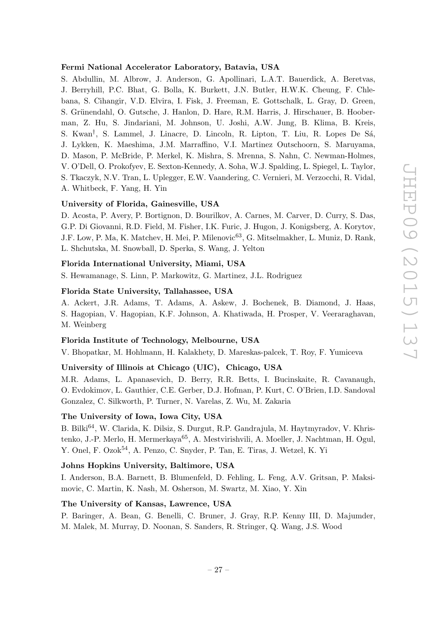#### Fermi National Accelerator Laboratory, Batavia, USA

S. Abdullin, M. Albrow, J. Anderson, G. Apollinari, L.A.T. Bauerdick, A. Beretvas, J. Berryhill, P.C. Bhat, G. Bolla, K. Burkett, J.N. Butler, H.W.K. Cheung, F. Chlebana, S. Cihangir, V.D. Elvira, I. Fisk, J. Freeman, E. Gottschalk, L. Gray, D. Green, S. Grünendahl, O. Gutsche, J. Hanlon, D. Hare, R.M. Harris, J. Hirschauer, B. Hooberman, Z. Hu, S. Jindariani, M. Johnson, U. Joshi, A.W. Jung, B. Klima, B. Kreis, S. Kwan<sup>†</sup>, S. Lammel, J. Linacre, D. Lincoln, R. Lipton, T. Liu, R. Lopes De Sá, J. Lykken, K. Maeshima, J.M. Marraffino, V.I. Martinez Outschoorn, S. Maruyama, D. Mason, P. McBride, P. Merkel, K. Mishra, S. Mrenna, S. Nahn, C. Newman-Holmes, V. O'Dell, O. Prokofyev, E. Sexton-Kennedy, A. Soha, W.J. Spalding, L. Spiegel, L. Taylor, S. Tkaczyk, N.V. Tran, L. Uplegger, E.W. Vaandering, C. Vernieri, M. Verzocchi, R. Vidal, A. Whitbeck, F. Yang, H. Yin

#### University of Florida, Gainesville, USA

D. Acosta, P. Avery, P. Bortignon, D. Bourilkov, A. Carnes, M. Carver, D. Curry, S. Das, G.P. Di Giovanni, R.D. Field, M. Fisher, I.K. Furic, J. Hugon, J. Konigsberg, A. Korytov, J.F. Low, P. Ma, K. Matchev, H. Mei, P. Milenovic<sup>63</sup>, G. Mitselmakher, L. Muniz, D. Rank, L. Shchutska, M. Snowball, D. Sperka, S. Wang, J. Yelton

#### Florida International University, Miami, USA

S. Hewamanage, S. Linn, P. Markowitz, G. Martinez, J.L. Rodriguez

#### Florida State University, Tallahassee, USA

A. Ackert, J.R. Adams, T. Adams, A. Askew, J. Bochenek, B. Diamond, J. Haas, S. Hagopian, V. Hagopian, K.F. Johnson, A. Khatiwada, H. Prosper, V. Veeraraghavan, M. Weinberg

#### Florida Institute of Technology, Melbourne, USA

V. Bhopatkar, M. Hohlmann, H. Kalakhety, D. Mareskas-palcek, T. Roy, F. Yumiceva

#### University of Illinois at Chicago (UIC), Chicago, USA

M.R. Adams, L. Apanasevich, D. Berry, R.R. Betts, I. Bucinskaite, R. Cavanaugh, O. Evdokimov, L. Gauthier, C.E. Gerber, D.J. Hofman, P. Kurt, C. O'Brien, I.D. Sandoval Gonzalez, C. Silkworth, P. Turner, N. Varelas, Z. Wu, M. Zakaria

#### The University of Iowa, Iowa City, USA

B. Bilki<sup>64</sup>, W. Clarida, K. Dilsiz, S. Durgut, R.P. Gandrajula, M. Haytmyradov, V. Khristenko, J.-P. Merlo, H. Mermerkaya<sup>65</sup>, A. Mestvirishvili, A. Moeller, J. Nachtman, H. Ogul, Y. Onel, F. Ozok<sup>54</sup>, A. Penzo, C. Snyder, P. Tan, E. Tiras, J. Wetzel, K. Yi

#### Johns Hopkins University, Baltimore, USA

I. Anderson, B.A. Barnett, B. Blumenfeld, D. Fehling, L. Feng, A.V. Gritsan, P. Maksimovic, C. Martin, K. Nash, M. Osherson, M. Swartz, M. Xiao, Y. Xin

#### The University of Kansas, Lawrence, USA

P. Baringer, A. Bean, G. Benelli, C. Bruner, J. Gray, R.P. Kenny III, D. Majumder, M. Malek, M. Murray, D. Noonan, S. Sanders, R. Stringer, Q. Wang, J.S. Wood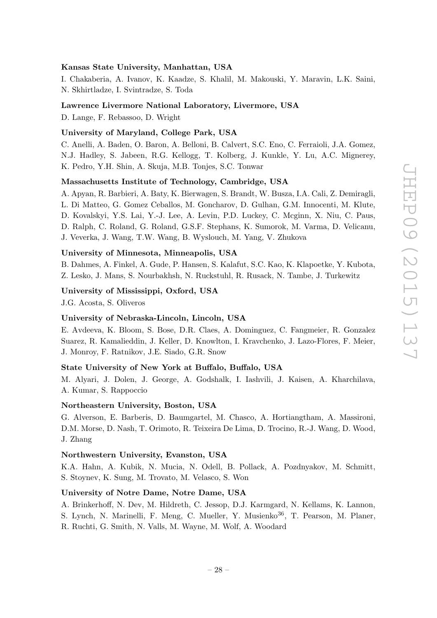#### Kansas State University, Manhattan, USA

I. Chakaberia, A. Ivanov, K. Kaadze, S. Khalil, M. Makouski, Y. Maravin, L.K. Saini, N. Skhirtladze, I. Svintradze, S. Toda

#### Lawrence Livermore National Laboratory, Livermore, USA

D. Lange, F. Rebassoo, D. Wright

#### University of Maryland, College Park, USA

C. Anelli, A. Baden, O. Baron, A. Belloni, B. Calvert, S.C. Eno, C. Ferraioli, J.A. Gomez, N.J. Hadley, S. Jabeen, R.G. Kellogg, T. Kolberg, J. Kunkle, Y. Lu, A.C. Mignerey, K. Pedro, Y.H. Shin, A. Skuja, M.B. Tonjes, S.C. Tonwar

#### Massachusetts Institute of Technology, Cambridge, USA

A. Apyan, R. Barbieri, A. Baty, K. Bierwagen, S. Brandt, W. Busza, I.A. Cali, Z. Demiragli, L. Di Matteo, G. Gomez Ceballos, M. Goncharov, D. Gulhan, G.M. Innocenti, M. Klute, D. Kovalskyi, Y.S. Lai, Y.-J. Lee, A. Levin, P.D. Luckey, C. Mcginn, X. Niu, C. Paus, D. Ralph, C. Roland, G. Roland, G.S.F. Stephans, K. Sumorok, M. Varma, D. Velicanu, J. Veverka, J. Wang, T.W. Wang, B. Wyslouch, M. Yang, V. Zhukova

#### University of Minnesota, Minneapolis, USA

B. Dahmes, A. Finkel, A. Gude, P. Hansen, S. Kalafut, S.C. Kao, K. Klapoetke, Y. Kubota, Z. Lesko, J. Mans, S. Nourbakhsh, N. Ruckstuhl, R. Rusack, N. Tambe, J. Turkewitz

#### University of Mississippi, Oxford, USA

J.G. Acosta, S. Oliveros

#### University of Nebraska-Lincoln, Lincoln, USA

E. Avdeeva, K. Bloom, S. Bose, D.R. Claes, A. Dominguez, C. Fangmeier, R. Gonzalez Suarez, R. Kamalieddin, J. Keller, D. Knowlton, I. Kravchenko, J. Lazo-Flores, F. Meier, J. Monroy, F. Ratnikov, J.E. Siado, G.R. Snow

#### State University of New York at Buffalo, Buffalo, USA

M. Alyari, J. Dolen, J. George, A. Godshalk, I. Iashvili, J. Kaisen, A. Kharchilava, A. Kumar, S. Rappoccio

#### Northeastern University, Boston, USA

G. Alverson, E. Barberis, D. Baumgartel, M. Chasco, A. Hortiangtham, A. Massironi, D.M. Morse, D. Nash, T. Orimoto, R. Teixeira De Lima, D. Trocino, R.-J. Wang, D. Wood, J. Zhang

#### Northwestern University, Evanston, USA

K.A. Hahn, A. Kubik, N. Mucia, N. Odell, B. Pollack, A. Pozdnyakov, M. Schmitt, S. Stoynev, K. Sung, M. Trovato, M. Velasco, S. Won

### University of Notre Dame, Notre Dame, USA

A. Brinkerhoff, N. Dev, M. Hildreth, C. Jessop, D.J. Karmgard, N. Kellams, K. Lannon, S. Lynch, N. Marinelli, F. Meng, C. Mueller, Y. Musienko<sup>36</sup>, T. Pearson, M. Planer, R. Ruchti, G. Smith, N. Valls, M. Wayne, M. Wolf, A. Woodard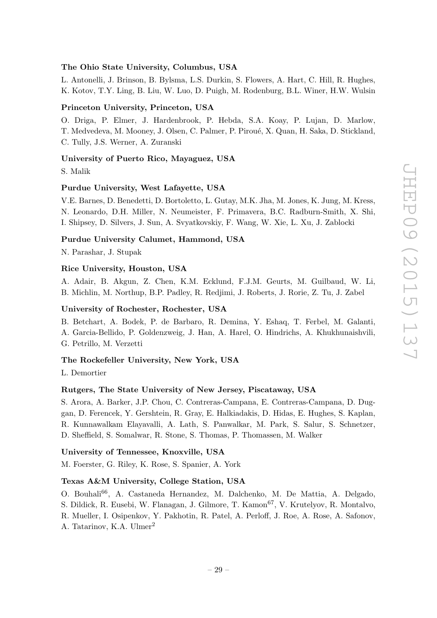#### The Ohio State University, Columbus, USA

L. Antonelli, J. Brinson, B. Bylsma, L.S. Durkin, S. Flowers, A. Hart, C. Hill, R. Hughes, K. Kotov, T.Y. Ling, B. Liu, W. Luo, D. Puigh, M. Rodenburg, B.L. Winer, H.W. Wulsin

#### Princeton University, Princeton, USA

O. Driga, P. Elmer, J. Hardenbrook, P. Hebda, S.A. Koay, P. Lujan, D. Marlow, T. Medvedeva, M. Mooney, J. Olsen, C. Palmer, P. Piroué, X. Quan, H. Saka, D. Stickland, C. Tully, J.S. Werner, A. Zuranski

#### University of Puerto Rico, Mayaguez, USA

S. Malik

#### Purdue University, West Lafayette, USA

V.E. Barnes, D. Benedetti, D. Bortoletto, L. Gutay, M.K. Jha, M. Jones, K. Jung, M. Kress, N. Leonardo, D.H. Miller, N. Neumeister, F. Primavera, B.C. Radburn-Smith, X. Shi, I. Shipsey, D. Silvers, J. Sun, A. Svyatkovskiy, F. Wang, W. Xie, L. Xu, J. Zablocki

#### Purdue University Calumet, Hammond, USA

N. Parashar, J. Stupak

#### Rice University, Houston, USA

A. Adair, B. Akgun, Z. Chen, K.M. Ecklund, F.J.M. Geurts, M. Guilbaud, W. Li, B. Michlin, M. Northup, B.P. Padley, R. Redjimi, J. Roberts, J. Rorie, Z. Tu, J. Zabel

#### University of Rochester, Rochester, USA

B. Betchart, A. Bodek, P. de Barbaro, R. Demina, Y. Eshaq, T. Ferbel, M. Galanti,

A. Garcia-Bellido, P. Goldenzweig, J. Han, A. Harel, O. Hindrichs, A. Khukhunaishvili, G. Petrillo, M. Verzetti

#### The Rockefeller University, New York, USA

L. Demortier

#### Rutgers, The State University of New Jersey, Piscataway, USA

S. Arora, A. Barker, J.P. Chou, C. Contreras-Campana, E. Contreras-Campana, D. Duggan, D. Ferencek, Y. Gershtein, R. Gray, E. Halkiadakis, D. Hidas, E. Hughes, S. Kaplan, R. Kunnawalkam Elayavalli, A. Lath, S. Panwalkar, M. Park, S. Salur, S. Schnetzer, D. Sheffield, S. Somalwar, R. Stone, S. Thomas, P. Thomassen, M. Walker

#### University of Tennessee, Knoxville, USA

M. Foerster, G. Riley, K. Rose, S. Spanier, A. York

#### Texas A&M University, College Station, USA

O. Bouhali<sup>66</sup>, A. Castaneda Hernandez, M. Dalchenko, M. De Mattia, A. Delgado, S. Dildick, R. Eusebi, W. Flanagan, J. Gilmore, T. Kamon<sup>67</sup>, V. Krutelyov, R. Montalvo, R. Mueller, I. Osipenkov, Y. Pakhotin, R. Patel, A. Perloff, J. Roe, A. Rose, A. Safonov, A. Tatarinov, K.A. Ulmer<sup>2</sup>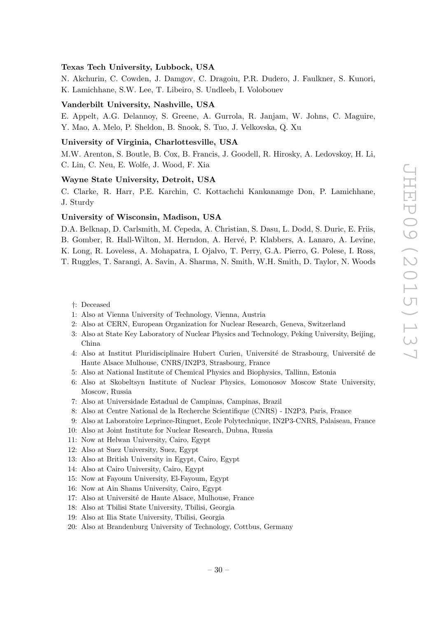#### Texas Tech University, Lubbock, USA

N. Akchurin, C. Cowden, J. Damgov, C. Dragoiu, P.R. Dudero, J. Faulkner, S. Kunori, K. Lamichhane, S.W. Lee, T. Libeiro, S. Undleeb, I. Volobouev

#### Vanderbilt University, Nashville, USA

E. Appelt, A.G. Delannoy, S. Greene, A. Gurrola, R. Janjam, W. Johns, C. Maguire, Y. Mao, A. Melo, P. Sheldon, B. Snook, S. Tuo, J. Velkovska, Q. Xu

#### University of Virginia, Charlottesville, USA

M.W. Arenton, S. Boutle, B. Cox, B. Francis, J. Goodell, R. Hirosky, A. Ledovskoy, H. Li, C. Lin, C. Neu, E. Wolfe, J. Wood, F. Xia

#### Wayne State University, Detroit, USA

C. Clarke, R. Harr, P.E. Karchin, C. Kottachchi Kankanamge Don, P. Lamichhane, J. Sturdy

#### University of Wisconsin, Madison, USA

D.A. Belknap, D. Carlsmith, M. Cepeda, A. Christian, S. Dasu, L. Dodd, S. Duric, E. Friis,

B. Gomber, R. Hall-Wilton, M. Herndon, A. Hervé, P. Klabbers, A. Lanaro, A. Levine,

K. Long, R. Loveless, A. Mohapatra, I. Ojalvo, T. Perry, G.A. Pierro, G. Polese, I. Ross,

- T. Ruggles, T. Sarangi, A. Savin, A. Sharma, N. Smith, W.H. Smith, D. Taylor, N. Woods
	- †: Deceased
	- 1: Also at Vienna University of Technology, Vienna, Austria
	- 2: Also at CERN, European Organization for Nuclear Research, Geneva, Switzerland
	- 3: Also at State Key Laboratory of Nuclear Physics and Technology, Peking University, Beijing, China
	- 4: Also at Institut Pluridisciplinaire Hubert Curien, Université de Strasbourg, Université de Haute Alsace Mulhouse, CNRS/IN2P3, Strasbourg, France
	- 5: Also at National Institute of Chemical Physics and Biophysics, Tallinn, Estonia
	- 6: Also at Skobeltsyn Institute of Nuclear Physics, Lomonosov Moscow State University, Moscow, Russia
	- 7: Also at Universidade Estadual de Campinas, Campinas, Brazil
	- 8: Also at Centre National de la Recherche Scientifique (CNRS) IN2P3, Paris, France
	- 9: Also at Laboratoire Leprince-Ringuet, Ecole Polytechnique, IN2P3-CNRS, Palaiseau, France
	- 10: Also at Joint Institute for Nuclear Research, Dubna, Russia
	- 11: Now at Helwan University, Cairo, Egypt
	- 12: Also at Suez University, Suez, Egypt
	- 13: Also at British University in Egypt, Cairo, Egypt
	- 14: Also at Cairo University, Cairo, Egypt
	- 15: Now at Fayoum University, El-Fayoum, Egypt
	- 16: Now at Ain Shams University, Cairo, Egypt
	- 17: Also at Université de Haute Alsace, Mulhouse, France
	- 18: Also at Tbilisi State University, Tbilisi, Georgia
	- 19: Also at Ilia State University, Tbilisi, Georgia
	- 20: Also at Brandenburg University of Technology, Cottbus, Germany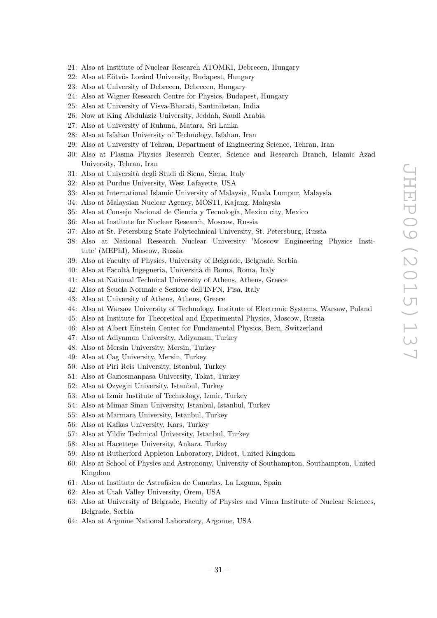- 21: Also at Institute of Nuclear Research ATOMKI, Debrecen, Hungary
- 22: Also at Eötvös Loránd University, Budapest, Hungary
- 23: Also at University of Debrecen, Debrecen, Hungary
- 24: Also at Wigner Research Centre for Physics, Budapest, Hungary
- 25: Also at University of Visva-Bharati, Santiniketan, India
- 26: Now at King Abdulaziz University, Jeddah, Saudi Arabia
- 27: Also at University of Ruhuna, Matara, Sri Lanka
- 28: Also at Isfahan University of Technology, Isfahan, Iran
- 29: Also at University of Tehran, Department of Engineering Science, Tehran, Iran
- 30: Also at Plasma Physics Research Center, Science and Research Branch, Islamic Azad University, Tehran, Iran
- 31: Also at Università degli Studi di Siena, Siena, Italy
- 32: Also at Purdue University, West Lafayette, USA
- 33: Also at International Islamic University of Malaysia, Kuala Lumpur, Malaysia
- 34: Also at Malaysian Nuclear Agency, MOSTI, Kajang, Malaysia
- 35: Also at Consejo Nacional de Ciencia y Tecnología, Mexico city, Mexico
- 36: Also at Institute for Nuclear Research, Moscow, Russia
- 37: Also at St. Petersburg State Polytechnical University, St. Petersburg, Russia
- 38: Also at National Research Nuclear University 'Moscow Engineering Physics Institute' (MEPhI), Moscow, Russia
- 39: Also at Faculty of Physics, University of Belgrade, Belgrade, Serbia
- 40: Also at Facoltà Ingegneria, Università di Roma, Roma, Italy
- 41: Also at National Technical University of Athens, Athens, Greece
- 42: Also at Scuola Normale e Sezione dell'INFN, Pisa, Italy
- 43: Also at University of Athens, Athens, Greece
- 44: Also at Warsaw University of Technology, Institute of Electronic Systems, Warsaw, Poland
- 45: Also at Institute for Theoretical and Experimental Physics, Moscow, Russia
- 46: Also at Albert Einstein Center for Fundamental Physics, Bern, Switzerland
- 47: Also at Adiyaman University, Adiyaman, Turkey
- 48: Also at Mersin University, Mersin, Turkey
- 49: Also at Cag University, Mersin, Turkey
- 50: Also at Piri Reis University, Istanbul, Turkey
- 51: Also at Gaziosmanpasa University, Tokat, Turkey
- 52: Also at Ozyegin University, Istanbul, Turkey
- 53: Also at Izmir Institute of Technology, Izmir, Turkey
- 54: Also at Mimar Sinan University, Istanbul, Istanbul, Turkey
- 55: Also at Marmara University, Istanbul, Turkey
- 56: Also at Kafkas University, Kars, Turkey
- 57: Also at Yildiz Technical University, Istanbul, Turkey
- 58: Also at Hacettepe University, Ankara, Turkey
- 59: Also at Rutherford Appleton Laboratory, Didcot, United Kingdom
- 60: Also at School of Physics and Astronomy, University of Southampton, Southampton, United Kingdom
- 61: Also at Instituto de Astrofísica de Canarias, La Laguna, Spain
- 62: Also at Utah Valley University, Orem, USA
- 63: Also at University of Belgrade, Faculty of Physics and Vinca Institute of Nuclear Sciences, Belgrade, Serbia
- 64: Also at Argonne National Laboratory, Argonne, USA